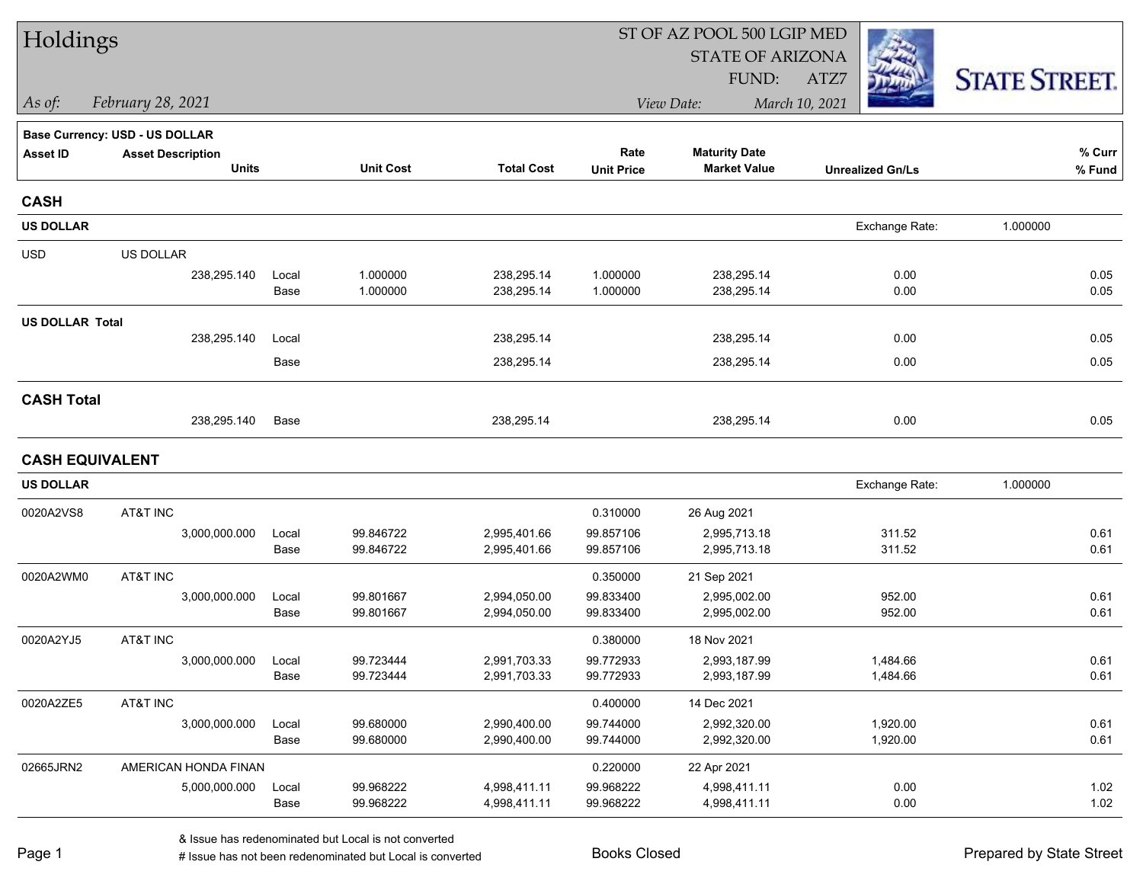| Holdings               |                                |               |                        |                              |                        | ST OF AZ POOL 500 LGIP MED   |                         |                      |
|------------------------|--------------------------------|---------------|------------------------|------------------------------|------------------------|------------------------------|-------------------------|----------------------|
|                        |                                |               |                        |                              |                        | <b>STATE OF ARIZONA</b>      |                         |                      |
|                        |                                |               |                        |                              |                        | FUND:                        | ATZ7                    | <b>STATE STREET.</b> |
| As of:                 | February 28, 2021              |               |                        |                              |                        | View Date:                   | March 10, 2021          |                      |
|                        | Base Currency: USD - US DOLLAR |               |                        |                              |                        |                              |                         |                      |
| <b>Asset ID</b>        | <b>Asset Description</b>       |               |                        |                              | Rate                   | <b>Maturity Date</b>         |                         | % Curr               |
|                        | <b>Units</b>                   |               | <b>Unit Cost</b>       | <b>Total Cost</b>            | <b>Unit Price</b>      | <b>Market Value</b>          | <b>Unrealized Gn/Ls</b> | % Fund               |
| <b>CASH</b>            |                                |               |                        |                              |                        |                              |                         |                      |
| <b>US DOLLAR</b>       |                                |               |                        |                              |                        |                              | Exchange Rate:          | 1.000000             |
| <b>USD</b>             | US DOLLAR                      |               |                        |                              |                        |                              |                         |                      |
|                        | 238,295.140                    | Local         | 1.000000               | 238,295.14                   | 1.000000               | 238,295.14                   | 0.00                    | 0.05                 |
|                        |                                | Base          | 1.000000               | 238,295.14                   | 1.000000               | 238,295.14                   | 0.00                    | 0.05                 |
| <b>US DOLLAR Total</b> |                                |               |                        |                              |                        |                              |                         |                      |
|                        | 238,295.140                    | Local         |                        | 238,295.14                   |                        | 238,295.14                   | 0.00                    | 0.05                 |
|                        |                                | Base          |                        | 238,295.14                   |                        | 238,295.14                   | 0.00                    | 0.05                 |
| <b>CASH Total</b>      |                                |               |                        |                              |                        |                              |                         |                      |
|                        | 238,295.140                    | Base          |                        | 238,295.14                   |                        | 238,295.14                   | 0.00                    | 0.05                 |
| <b>CASH EQUIVALENT</b> |                                |               |                        |                              |                        |                              |                         |                      |
| <b>US DOLLAR</b>       |                                |               |                        |                              |                        |                              | Exchange Rate:          | 1.000000             |
| 0020A2VS8              | AT&T INC                       |               |                        |                              | 0.310000               | 26 Aug 2021                  |                         |                      |
|                        | 3,000,000.000                  | Local         | 99.846722              | 2,995,401.66                 | 99.857106              | 2,995,713.18                 | 311.52                  | 0.61                 |
|                        |                                | Base          | 99.846722              | 2,995,401.66                 | 99.857106              | 2,995,713.18                 | 311.52                  | 0.61                 |
| 0020A2WM0              | AT&T INC                       |               |                        |                              | 0.350000               | 21 Sep 2021                  |                         |                      |
|                        | 3,000,000.000                  | Local         | 99.801667              | 2,994,050.00                 | 99.833400              | 2,995,002.00                 | 952.00                  | 0.61                 |
|                        |                                | Base          | 99.801667              | 2,994,050.00                 | 99.833400              | 2,995,002.00                 | 952.00                  | 0.61                 |
| 0020A2YJ5              | AT&T INC                       |               |                        |                              | 0.380000               | 18 Nov 2021                  |                         |                      |
|                        | 3,000,000.000                  | Local         | 99.723444              | 2,991,703.33                 | 99.772933              | 2,993,187.99                 | 1,484.66                | 0.61                 |
|                        |                                | Base          | 99.723444              | 2,991,703.33                 | 99.772933              | 2,993,187.99                 | 1,484.66                | 0.61                 |
| 0020A2ZE5              | AT&T INC                       |               |                        |                              | 0.400000               | 14 Dec 2021                  |                         |                      |
|                        | 3,000,000.000                  | Local         | 99.680000              | 2,990,400.00                 | 99.744000              | 2,992,320.00                 | 1,920.00                | 0.61                 |
|                        |                                | Base          | 99.680000              | 2,990,400.00                 | 99.744000              | 2,992,320.00                 | 1,920.00                | 0.61                 |
| 02665JRN2              | AMERICAN HONDA FINAN           |               |                        |                              | 0.220000               | 22 Apr 2021                  |                         |                      |
|                        | 5,000,000.000                  | Local<br>Base | 99.968222<br>99.968222 | 4,998,411.11<br>4,998,411.11 | 99.968222<br>99.968222 | 4,998,411.11<br>4,998,411.11 | 0.00<br>0.00            | 1.02<br>1.02         |
|                        |                                |               |                        |                              |                        |                              |                         |                      |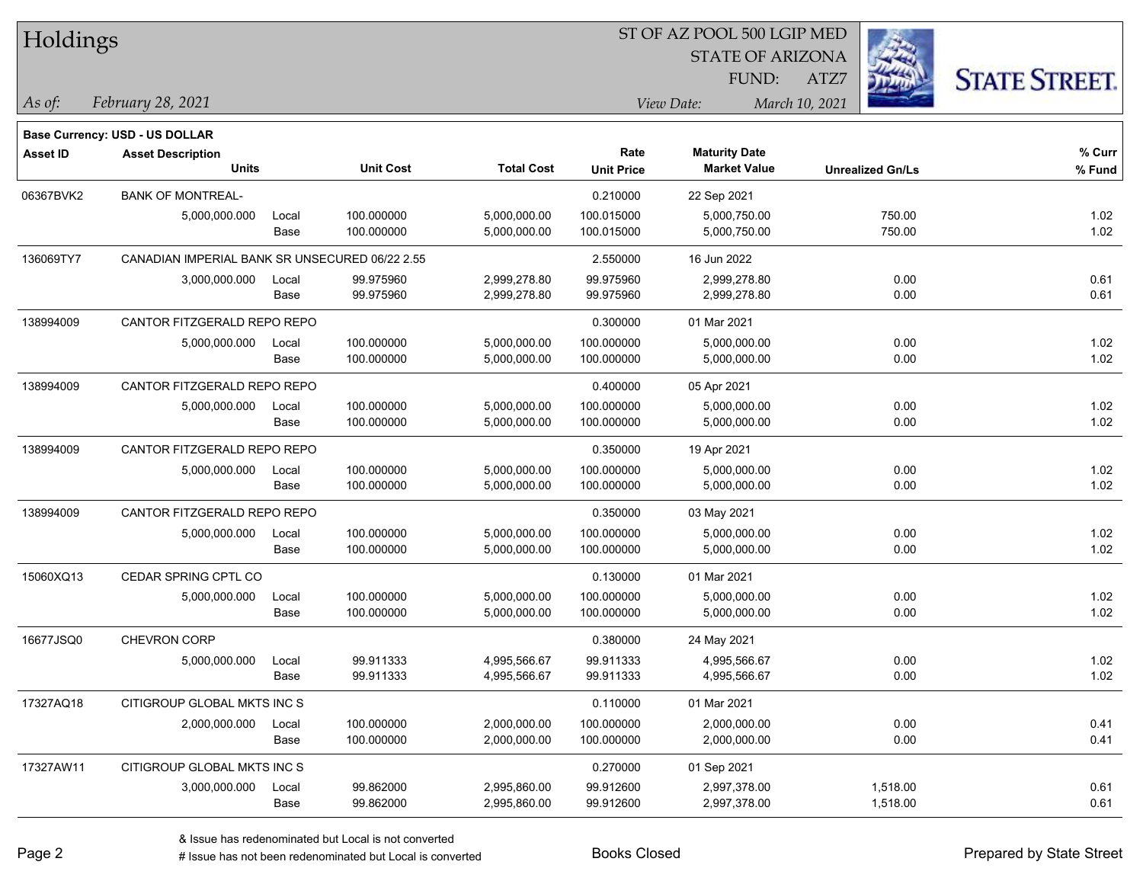| Holdings        |                                                |       |                          |                   | ST OF AZ POOL 500 LGIP MED |                                             |                         |                      |  |  |
|-----------------|------------------------------------------------|-------|--------------------------|-------------------|----------------------------|---------------------------------------------|-------------------------|----------------------|--|--|
|                 |                                                |       |                          |                   |                            | <b>STATE OF ARIZONA</b>                     |                         |                      |  |  |
|                 |                                                |       |                          |                   |                            | FUND:                                       | ATZ7                    | <b>STATE STREET.</b> |  |  |
| $\vert$ As of:  | February 28, 2021                              |       |                          |                   |                            | View Date:                                  | March 10, 2021          |                      |  |  |
|                 |                                                |       |                          |                   |                            |                                             |                         |                      |  |  |
|                 | <b>Base Currency: USD - US DOLLAR</b>          |       |                          |                   |                            |                                             |                         |                      |  |  |
| <b>Asset ID</b> | <b>Asset Description</b><br><b>Units</b>       |       | <b>Unit Cost</b>         | <b>Total Cost</b> | Rate<br><b>Unit Price</b>  | <b>Maturity Date</b><br><b>Market Value</b> | <b>Unrealized Gn/Ls</b> | % Curr<br>% Fund     |  |  |
|                 |                                                |       |                          |                   |                            |                                             |                         |                      |  |  |
| 06367BVK2       | <b>BANK OF MONTREAL-</b>                       |       |                          |                   | 0.210000                   | 22 Sep 2021                                 |                         |                      |  |  |
|                 | 5,000,000.000                                  | Local | 100.000000<br>100.000000 | 5,000,000.00      | 100.015000                 | 5,000,750.00<br>5,000,750.00                | 750.00                  | 1.02                 |  |  |
|                 |                                                | Base  |                          | 5,000,000.00      | 100.015000                 |                                             | 750.00                  | 1.02                 |  |  |
| 136069TY7       | CANADIAN IMPERIAL BANK SR UNSECURED 06/22 2.55 |       |                          |                   | 2.550000                   | 16 Jun 2022                                 |                         |                      |  |  |
|                 | 3,000,000.000                                  | Local | 99.975960                | 2,999,278.80      | 99.975960                  | 2,999,278.80                                | 0.00                    | 0.61                 |  |  |
|                 |                                                | Base  | 99.975960                | 2,999,278.80      | 99.975960                  | 2,999,278.80                                | 0.00                    | 0.61                 |  |  |
| 138994009       | CANTOR FITZGERALD REPO REPO                    |       |                          |                   | 0.300000                   | 01 Mar 2021                                 |                         |                      |  |  |
|                 | 5,000,000.000                                  | Local | 100.000000               | 5,000,000.00      | 100.000000                 | 5,000,000.00                                | 0.00                    | 1.02                 |  |  |
|                 |                                                | Base  | 100.000000               | 5,000,000.00      | 100.000000                 | 5,000,000.00                                | 0.00                    | 1.02                 |  |  |
| 138994009       | CANTOR FITZGERALD REPO REPO                    |       |                          |                   | 0.400000                   | 05 Apr 2021                                 |                         |                      |  |  |
|                 | 5,000,000.000                                  | Local | 100.000000               | 5,000,000.00      | 100.000000                 | 5,000,000.00                                | 0.00                    | 1.02                 |  |  |
|                 |                                                | Base  | 100.000000               | 5,000,000.00      | 100.000000                 | 5,000,000.00                                | 0.00                    | 1.02                 |  |  |
| 138994009       | CANTOR FITZGERALD REPO REPO                    |       |                          |                   | 0.350000                   | 19 Apr 2021                                 |                         |                      |  |  |
|                 | 5,000,000.000                                  | Local | 100.000000               | 5,000,000.00      | 100.000000                 | 5,000,000.00                                | 0.00                    | 1.02                 |  |  |
|                 |                                                | Base  | 100.000000               | 5,000,000.00      | 100.000000                 | 5,000,000.00                                | 0.00                    | 1.02                 |  |  |
| 138994009       | CANTOR FITZGERALD REPO REPO                    |       |                          |                   | 0.350000                   | 03 May 2021                                 |                         |                      |  |  |
|                 | 5,000,000.000                                  | Local | 100.000000               | 5,000,000.00      | 100.000000                 | 5,000,000.00                                | 0.00                    | 1.02                 |  |  |
|                 |                                                | Base  | 100.000000               | 5,000,000.00      | 100.000000                 | 5,000,000.00                                | 0.00                    | 1.02                 |  |  |
| 15060XQ13       | CEDAR SPRING CPTL CO                           |       |                          |                   | 0.130000                   | 01 Mar 2021                                 |                         |                      |  |  |
|                 | 5,000,000.000                                  | Local | 100.000000               | 5,000,000.00      | 100.000000                 | 5,000,000.00                                | 0.00                    | 1.02                 |  |  |
|                 |                                                | Base  | 100.000000               | 5,000,000.00      | 100.000000                 | 5,000,000.00                                | 0.00                    | 1.02                 |  |  |
| 16677JSQ0       | CHEVRON CORP                                   |       |                          |                   | 0.380000                   | 24 May 2021                                 |                         |                      |  |  |
|                 | 5,000,000.000                                  | Local | 99.911333                | 4,995,566.67      | 99.911333                  | 4,995,566.67                                | 0.00                    | 1.02                 |  |  |
|                 |                                                | Base  | 99.911333                | 4,995,566.67      | 99.911333                  | 4,995,566.67                                | 0.00                    | 1.02                 |  |  |
| 17327AQ18       | CITIGROUP GLOBAL MKTS INC S                    |       |                          |                   | 0.110000                   | 01 Mar 2021                                 |                         |                      |  |  |
|                 | 2,000,000.000                                  | Local | 100.000000               | 2,000,000.00      | 100.000000                 | 2,000,000.00                                | 0.00                    | 0.41                 |  |  |
|                 |                                                | Base  | 100.000000               | 2,000,000.00      | 100.000000                 | 2,000,000.00                                | 0.00                    | 0.41                 |  |  |
| 17327AW11       | CITIGROUP GLOBAL MKTS INC S                    |       |                          |                   | 0.270000                   | 01 Sep 2021                                 |                         |                      |  |  |
|                 | 3,000,000.000                                  | Local | 99.862000                | 2,995,860.00      | 99.912600                  | 2,997,378.00                                | 1,518.00                | 0.61                 |  |  |
|                 |                                                | Base  | 99.862000                | 2,995,860.00      | 99.912600                  | 2,997,378.00                                | 1,518.00                | 0.61                 |  |  |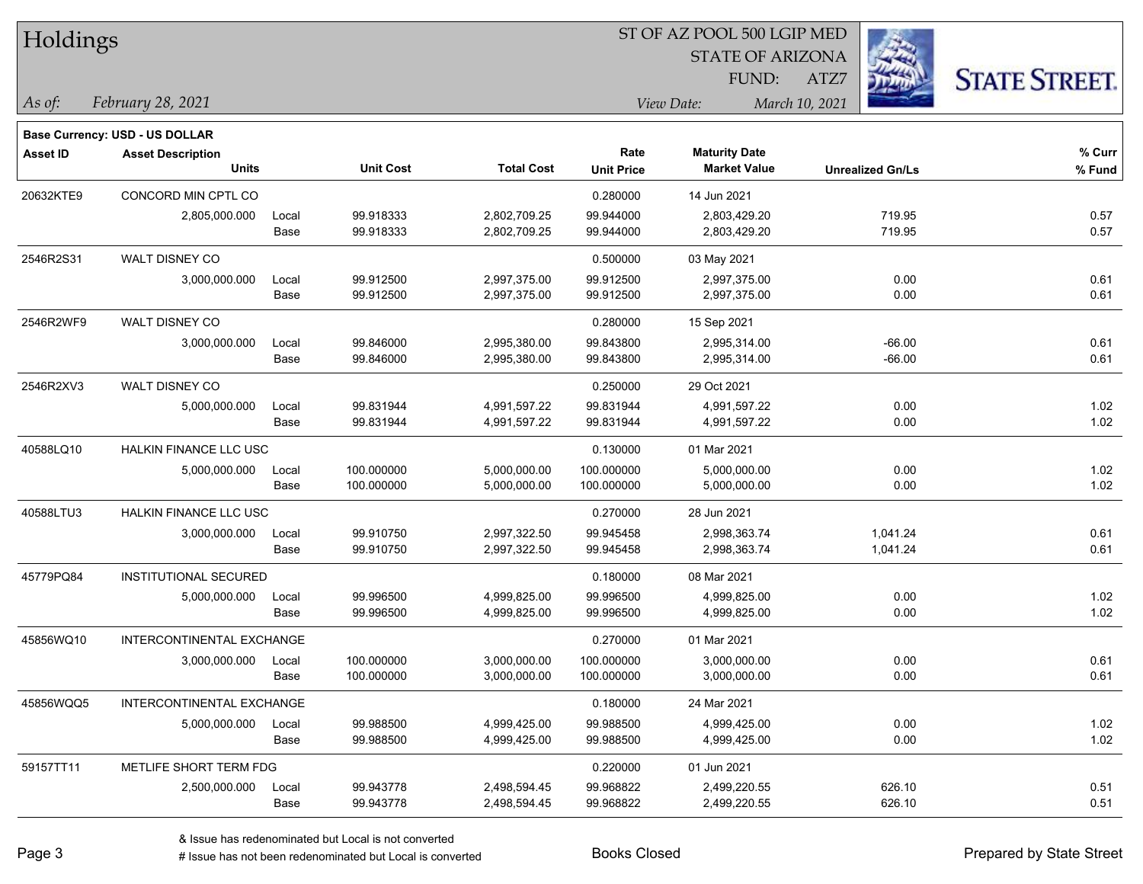| Holdings        |                                                            |       |                  | ST OF AZ POOL 500 LGIP MED |                   |                      |                         |                      |  |  |
|-----------------|------------------------------------------------------------|-------|------------------|----------------------------|-------------------|----------------------|-------------------------|----------------------|--|--|
|                 |                                                            |       |                  |                            |                   |                      |                         |                      |  |  |
|                 |                                                            |       |                  |                            |                   | FUND:                | ATZ7                    | <b>STATE STREET.</b> |  |  |
| As of:          | February 28, 2021                                          |       |                  |                            |                   | View Date:           | March 10, 2021          |                      |  |  |
|                 |                                                            |       |                  |                            |                   |                      |                         |                      |  |  |
| <b>Asset ID</b> | Base Currency: USD - US DOLLAR<br><b>Asset Description</b> |       |                  |                            | Rate              | <b>Maturity Date</b> |                         | % Curr               |  |  |
|                 | <b>Units</b>                                               |       | <b>Unit Cost</b> | <b>Total Cost</b>          | <b>Unit Price</b> | <b>Market Value</b>  | <b>Unrealized Gn/Ls</b> | % Fund               |  |  |
| 20632KTE9       | CONCORD MIN CPTL CO                                        |       |                  |                            | 0.280000          | 14 Jun 2021          |                         |                      |  |  |
|                 | 2,805,000.000                                              | Local | 99.918333        | 2,802,709.25               | 99.944000         | 2,803,429.20         | 719.95                  | 0.57                 |  |  |
|                 |                                                            | Base  | 99.918333        | 2,802,709.25               | 99.944000         | 2,803,429.20         | 719.95                  | 0.57                 |  |  |
| 2546R2S31       | WALT DISNEY CO                                             |       |                  |                            | 0.500000          | 03 May 2021          |                         |                      |  |  |
|                 | 3,000,000.000                                              | Local | 99.912500        | 2,997,375.00               | 99.912500         | 2,997,375.00         | 0.00                    | 0.61                 |  |  |
|                 |                                                            | Base  | 99.912500        | 2,997,375.00               | 99.912500         | 2,997,375.00         | 0.00                    | 0.61                 |  |  |
| 2546R2WF9       | WALT DISNEY CO                                             |       |                  |                            | 0.280000          | 15 Sep 2021          |                         |                      |  |  |
|                 | 3,000,000.000                                              | Local | 99.846000        | 2,995,380.00               | 99.843800         | 2,995,314.00         | $-66.00$                | 0.61                 |  |  |
|                 |                                                            | Base  | 99.846000        | 2,995,380.00               | 99.843800         | 2,995,314.00         | $-66.00$                | 0.61                 |  |  |
| 2546R2XV3       | WALT DISNEY CO                                             |       |                  |                            | 0.250000          | 29 Oct 2021          |                         |                      |  |  |
|                 | 5,000,000.000                                              | Local | 99.831944        | 4,991,597.22               | 99.831944         | 4,991,597.22         | 0.00                    | 1.02                 |  |  |
|                 |                                                            | Base  | 99.831944        | 4,991,597.22               | 99.831944         | 4,991,597.22         | 0.00                    | 1.02                 |  |  |
| 40588LQ10       | HALKIN FINANCE LLC USC                                     |       |                  |                            | 0.130000          | 01 Mar 2021          |                         |                      |  |  |
|                 | 5,000,000.000                                              | Local | 100.000000       | 5,000,000.00               | 100.000000        | 5,000,000.00         | 0.00                    | 1.02                 |  |  |
|                 |                                                            | Base  | 100.000000       | 5,000,000.00               | 100.000000        | 5,000,000.00         | 0.00                    | 1.02                 |  |  |
| 40588LTU3       | HALKIN FINANCE LLC USC                                     |       |                  |                            | 0.270000          | 28 Jun 2021          |                         |                      |  |  |
|                 | 3,000,000.000                                              | Local | 99.910750        | 2,997,322.50               | 99.945458         | 2,998,363.74         | 1,041.24                | 0.61                 |  |  |
|                 |                                                            | Base  | 99.910750        | 2,997,322.50               | 99.945458         | 2,998,363.74         | 1,041.24                | 0.61                 |  |  |
| 45779PQ84       | INSTITUTIONAL SECURED                                      |       |                  |                            | 0.180000          | 08 Mar 2021          |                         |                      |  |  |
|                 | 5,000,000.000                                              | Local | 99.996500        | 4,999,825.00               | 99.996500         | 4,999,825.00         | 0.00                    | 1.02                 |  |  |
|                 |                                                            | Base  | 99.996500        | 4,999,825.00               | 99.996500         | 4,999,825.00         | 0.00                    | 1.02                 |  |  |
| 45856WQ10       | INTERCONTINENTAL EXCHANGE                                  |       |                  |                            | 0.270000          | 01 Mar 2021          |                         |                      |  |  |
|                 | 3,000,000.000                                              | Local | 100.000000       | 3,000,000.00               | 100.000000        | 3,000,000.00         | 0.00                    | 0.61                 |  |  |
|                 |                                                            | Base  | 100.000000       | 3,000,000.00               | 100.000000        | 3,000,000.00         | 0.00                    | 0.61                 |  |  |
| 45856WQQ5       | INTERCONTINENTAL EXCHANGE                                  |       |                  |                            | 0.180000          | 24 Mar 2021          |                         |                      |  |  |
|                 | 5,000,000.000                                              | Local | 99.988500        | 4,999,425.00               | 99.988500         | 4,999,425.00         | 0.00                    | 1.02                 |  |  |
|                 |                                                            | Base  | 99.988500        | 4,999,425.00               | 99.988500         | 4,999,425.00         | 0.00                    | 1.02                 |  |  |
| 59157TT11       | METLIFE SHORT TERM FDG                                     |       |                  |                            | 0.220000          | 01 Jun 2021          |                         |                      |  |  |
|                 | 2,500,000.000                                              | Local | 99.943778        | 2,498,594.45               | 99.968822         | 2,499,220.55         | 626.10                  | 0.51                 |  |  |
|                 |                                                            | Base  | 99.943778        | 2,498,594.45               | 99.968822         | 2,499,220.55         | 626.10                  | 0.51                 |  |  |

 $\overline{\phantom{a}}$ 

 $\overline{\phantom{a}}$ 

 $\overline{\phantom{0}}$ 

 $\overline{\phantom{0}}$ 

 $\overline{\phantom{0}}$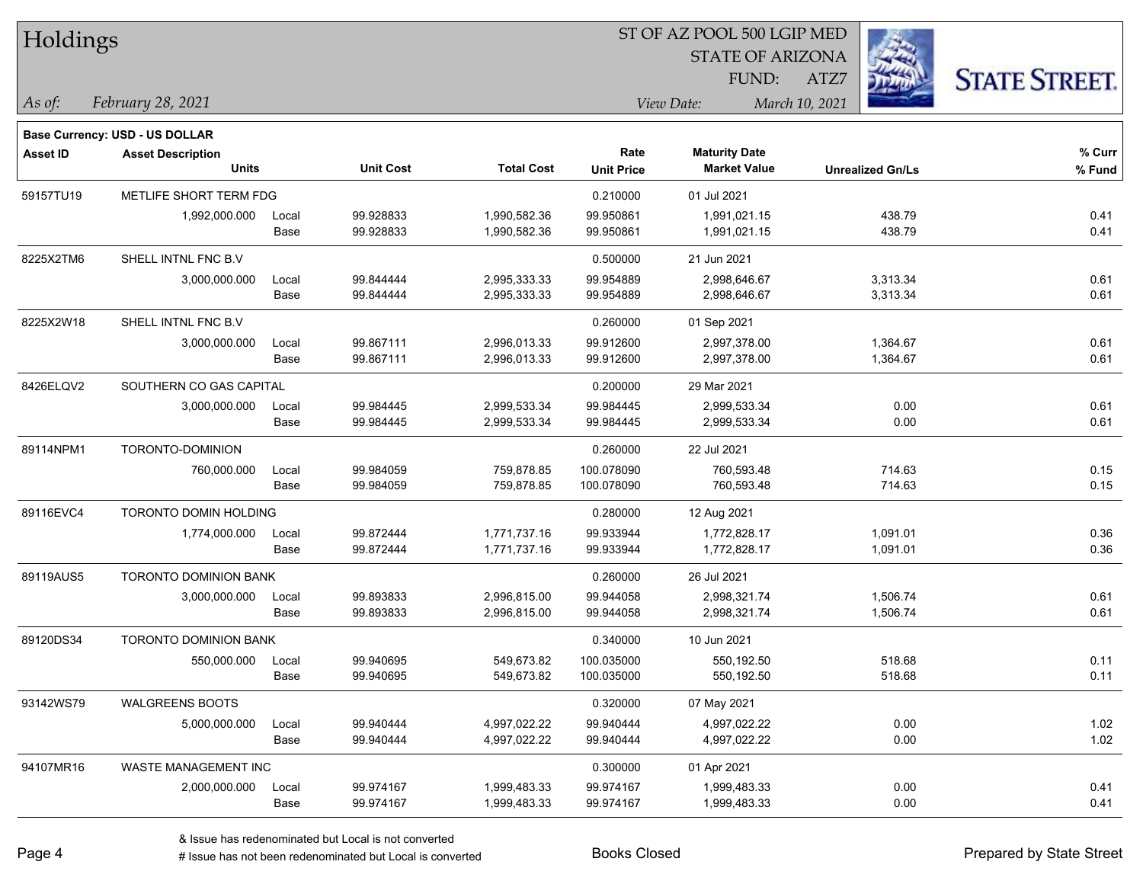| Holdings        |                                          |       |                  |                   |                           |                                             |                         |                      |
|-----------------|------------------------------------------|-------|------------------|-------------------|---------------------------|---------------------------------------------|-------------------------|----------------------|
|                 |                                          |       |                  |                   |                           | <b>STATE OF ARIZONA</b>                     |                         |                      |
|                 |                                          |       |                  |                   |                           | FUND:                                       | ATZ7                    | <b>STATE STREET.</b> |
| $\vert$ As of:  | February 28, 2021                        |       |                  |                   |                           | View Date:                                  | March 10, 2021          |                      |
|                 |                                          |       |                  |                   |                           |                                             |                         |                      |
|                 | <b>Base Currency: USD - US DOLLAR</b>    |       |                  |                   |                           |                                             |                         |                      |
| <b>Asset ID</b> | <b>Asset Description</b><br><b>Units</b> |       | <b>Unit Cost</b> | <b>Total Cost</b> | Rate<br><b>Unit Price</b> | <b>Maturity Date</b><br><b>Market Value</b> | <b>Unrealized Gn/Ls</b> | % Curr<br>% Fund     |
| 59157TU19       | METLIFE SHORT TERM FDG                   |       |                  |                   | 0.210000                  | 01 Jul 2021                                 |                         |                      |
|                 | 1,992,000.000                            | Local | 99.928833        | 1,990,582.36      | 99.950861                 | 1,991,021.15                                | 438.79                  | 0.41                 |
|                 |                                          | Base  | 99.928833        | 1,990,582.36      | 99.950861                 | 1,991,021.15                                | 438.79                  | 0.41                 |
| 8225X2TM6       | SHELL INTNL FNC B.V                      |       |                  |                   | 0.500000                  | 21 Jun 2021                                 |                         |                      |
|                 | 3,000,000.000                            | Local | 99.844444        | 2,995,333.33      | 99.954889                 | 2,998,646.67                                | 3,313.34                | 0.61                 |
|                 |                                          | Base  | 99.844444        | 2,995,333.33      | 99.954889                 | 2,998,646.67                                | 3,313.34                | 0.61                 |
| 8225X2W18       | SHELL INTNL FNC B.V                      |       |                  |                   | 0.260000                  | 01 Sep 2021                                 |                         |                      |
|                 | 3,000,000.000                            | Local | 99.867111        | 2,996,013.33      | 99.912600                 | 2,997,378.00                                | 1,364.67                | 0.61                 |
|                 |                                          | Base  | 99.867111        | 2,996,013.33      | 99.912600                 | 2,997,378.00                                | 1,364.67                | 0.61                 |
| 8426ELQV2       | SOUTHERN CO GAS CAPITAL                  |       |                  |                   | 0.200000                  | 29 Mar 2021                                 |                         |                      |
|                 | 3,000,000.000                            | Local | 99.984445        | 2,999,533.34      | 99.984445                 | 2,999,533.34                                | 0.00                    | 0.61                 |
|                 |                                          | Base  | 99.984445        | 2,999,533.34      | 99.984445                 | 2,999,533.34                                | 0.00                    | 0.61                 |
| 89114NPM1       | TORONTO-DOMINION                         |       |                  |                   | 0.260000                  | 22 Jul 2021                                 |                         |                      |
|                 | 760,000.000                              | Local | 99.984059        | 759,878.85        | 100.078090                | 760,593.48                                  | 714.63                  | 0.15                 |
|                 |                                          | Base  | 99.984059        | 759,878.85        | 100.078090                | 760,593.48                                  | 714.63                  | 0.15                 |
| 89116EVC4       | TORONTO DOMIN HOLDING                    |       |                  |                   | 0.280000                  | 12 Aug 2021                                 |                         |                      |
|                 | 1,774,000.000                            | Local | 99.872444        | 1,771,737.16      | 99.933944                 | 1,772,828.17                                | 1,091.01                | 0.36                 |
|                 |                                          | Base  | 99.872444        | 1,771,737.16      | 99.933944                 | 1,772,828.17                                | 1,091.01                | 0.36                 |
| 89119AUS5       | TORONTO DOMINION BANK                    |       |                  |                   | 0.260000                  | 26 Jul 2021                                 |                         |                      |
|                 | 3,000,000.000                            | Local | 99.893833        | 2,996,815.00      | 99.944058                 | 2,998,321.74                                | 1,506.74                | 0.61                 |
|                 |                                          | Base  | 99.893833        | 2,996,815.00      | 99.944058                 | 2,998,321.74                                | 1,506.74                | 0.61                 |
| 89120DS34       | <b>TORONTO DOMINION BANK</b>             |       |                  |                   | 0.340000                  | 10 Jun 2021                                 |                         |                      |
|                 | 550,000.000                              | Local | 99.940695        | 549,673.82        | 100.035000                | 550,192.50                                  | 518.68                  | 0.11                 |
|                 |                                          | Base  | 99.940695        | 549,673.82        | 100.035000                | 550,192.50                                  | 518.68                  | 0.11                 |
| 93142WS79       | <b>WALGREENS BOOTS</b>                   |       |                  |                   | 0.320000                  | 07 May 2021                                 |                         |                      |
|                 | 5,000,000.000                            | Local | 99.940444        | 4,997,022.22      | 99.940444                 | 4,997,022.22                                | 0.00                    | 1.02                 |
|                 |                                          | Base  | 99.940444        | 4,997,022.22      | 99.940444                 | 4,997,022.22                                | 0.00                    | 1.02                 |
| 94107MR16       | WASTE MANAGEMENT INC                     |       |                  |                   | 0.300000                  | 01 Apr 2021                                 |                         |                      |
|                 | 2,000,000.000                            | Local | 99.974167        | 1,999,483.33      | 99.974167                 | 1,999,483.33                                | 0.00                    | 0.41                 |
|                 |                                          | Base  | 99.974167        | 1,999,483.33      | 99.974167                 | 1,999,483.33                                | 0.00                    | 0.41                 |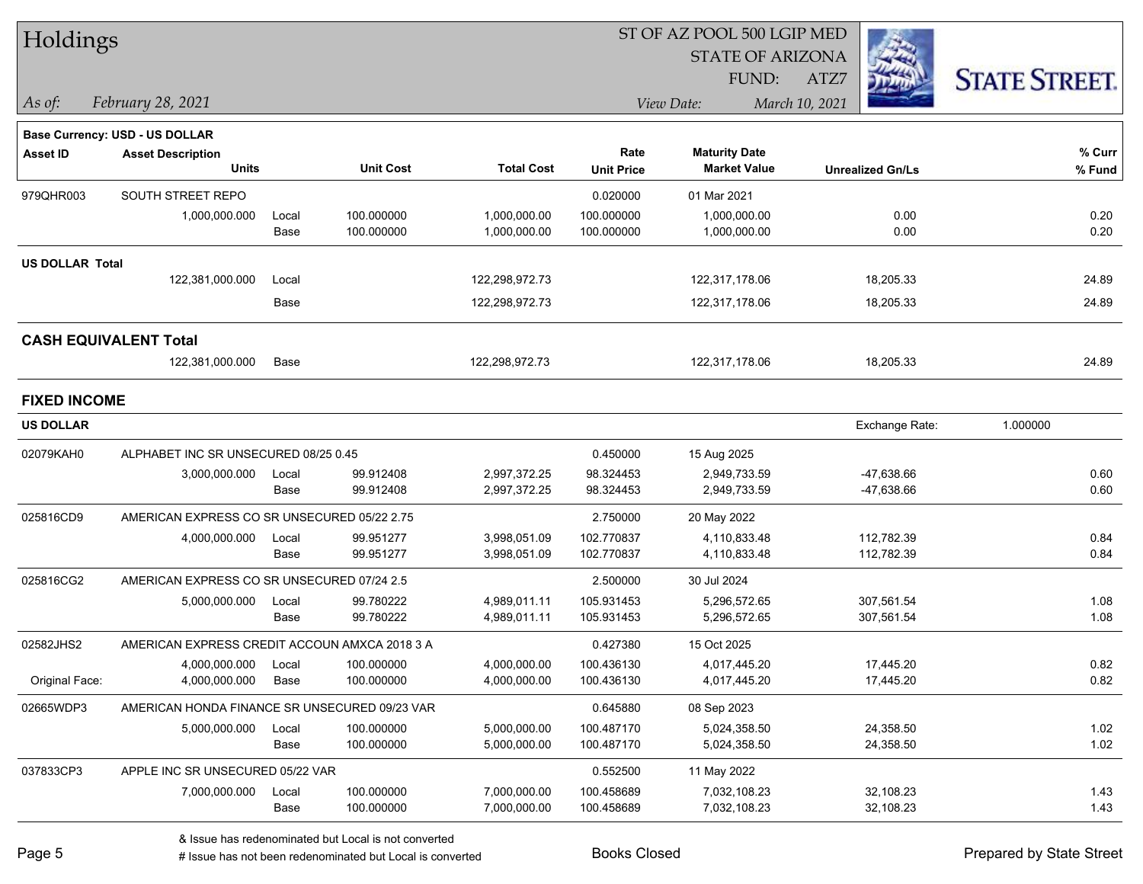| Holdings               |                                               |       |                  |                   | ST OF AZ POOL 500 LGIP MED |                         |                         |                      |  |  |
|------------------------|-----------------------------------------------|-------|------------------|-------------------|----------------------------|-------------------------|-------------------------|----------------------|--|--|
|                        |                                               |       |                  |                   |                            | <b>STATE OF ARIZONA</b> |                         |                      |  |  |
|                        |                                               |       |                  |                   |                            | FUND:                   | ATZ7                    | <b>STATE STREET.</b> |  |  |
| As of:                 | February 28, 2021                             |       |                  |                   |                            | View Date:              | March 10, 2021          |                      |  |  |
|                        | Base Currency: USD - US DOLLAR                |       |                  |                   |                            |                         |                         |                      |  |  |
| <b>Asset ID</b>        | <b>Asset Description</b>                      |       |                  |                   | Rate                       | <b>Maturity Date</b>    |                         | $%$ Curr             |  |  |
|                        | <b>Units</b>                                  |       | <b>Unit Cost</b> | <b>Total Cost</b> | <b>Unit Price</b>          | <b>Market Value</b>     | <b>Unrealized Gn/Ls</b> | % Fund               |  |  |
| 979QHR003              | SOUTH STREET REPO                             |       |                  |                   | 0.020000                   | 01 Mar 2021             |                         |                      |  |  |
|                        | 1,000,000.000                                 | Local | 100.000000       | 1,000,000.00      | 100.000000                 | 1,000,000.00            | 0.00                    | 0.20                 |  |  |
|                        |                                               | Base  | 100.000000       | 1,000,000.00      | 100.000000                 | 1,000,000.00            | 0.00                    | 0.20                 |  |  |
| <b>US DOLLAR Total</b> |                                               |       |                  |                   |                            |                         |                         |                      |  |  |
|                        | 122,381,000.000                               | Local |                  | 122,298,972.73    |                            | 122,317,178.06          | 18,205.33               | 24.89                |  |  |
|                        |                                               | Base  |                  | 122,298,972.73    |                            | 122,317,178.06          | 18,205.33               | 24.89                |  |  |
|                        | <b>CASH EQUIVALENT Total</b>                  |       |                  |                   |                            |                         |                         |                      |  |  |
|                        | 122,381,000.000                               | Base  |                  | 122,298,972.73    |                            | 122,317,178.06          | 18,205.33               | 24.89                |  |  |
| <b>FIXED INCOME</b>    |                                               |       |                  |                   |                            |                         |                         |                      |  |  |
| <b>US DOLLAR</b>       |                                               |       |                  |                   |                            |                         | Exchange Rate:          | 1.000000             |  |  |
| 02079KAH0              | ALPHABET INC SR UNSECURED 08/25 0.45          |       |                  |                   | 0.450000                   | 15 Aug 2025             |                         |                      |  |  |
|                        | 3,000,000.000                                 | Local | 99.912408        | 2,997,372.25      | 98.324453                  | 2,949,733.59            | -47,638.66              | 0.60                 |  |  |
|                        |                                               | Base  | 99.912408        | 2,997,372.25      | 98.324453                  | 2,949,733.59            | -47,638.66              | 0.60                 |  |  |
| 025816CD9              | AMERICAN EXPRESS CO SR UNSECURED 05/22 2.75   |       |                  |                   | 2.750000                   | 20 May 2022             |                         |                      |  |  |
|                        | 4,000,000.000                                 | Local | 99.951277        | 3,998,051.09      | 102.770837                 | 4,110,833.48            | 112,782.39              | 0.84                 |  |  |
|                        |                                               | Base  | 99.951277        | 3,998,051.09      | 102.770837                 | 4,110,833.48            | 112,782.39              | 0.84                 |  |  |
| 025816CG2              | AMERICAN EXPRESS CO SR UNSECURED 07/24 2.5    |       |                  |                   | 2.500000                   | 30 Jul 2024             |                         |                      |  |  |
|                        | 5,000,000.000                                 | Local | 99.780222        | 4,989,011.11      | 105.931453                 | 5,296,572.65            | 307,561.54              | 1.08                 |  |  |
|                        |                                               | Base  | 99.780222        | 4,989,011.11      | 105.931453                 | 5,296,572.65            | 307,561.54              | 1.08                 |  |  |
| 02582JHS2              | AMERICAN EXPRESS CREDIT ACCOUN AMXCA 2018 3 A |       |                  |                   | 0.427380                   | 15 Oct 2025             |                         |                      |  |  |
|                        | 4,000,000.000                                 | Local | 100.000000       | 4,000,000.00      | 100.436130                 | 4,017,445.20            | 17,445.20               | 0.82                 |  |  |
| Original Face:         | 4,000,000.000                                 | Base  | 100.000000       | 4,000,000.00      | 100.436130                 | 4,017,445.20            | 17,445.20               | 0.82                 |  |  |
| 02665WDP3              | AMERICAN HONDA FINANCE SR UNSECURED 09/23 VAR |       |                  |                   | 0.645880                   | 08 Sep 2023             |                         |                      |  |  |
|                        | 5,000,000.000                                 | Local | 100.000000       | 5,000,000.00      | 100.487170                 | 5,024,358.50            | 24,358.50               | 1.02                 |  |  |
|                        |                                               | Base  | 100.000000       | 5,000,000.00      | 100.487170                 | 5,024,358.50            | 24,358.50               | 1.02                 |  |  |
| 037833CP3              | APPLE INC SR UNSECURED 05/22 VAR              |       |                  |                   | 0.552500                   | 11 May 2022             |                         |                      |  |  |
|                        | 7,000,000.000                                 | Local | 100.000000       | 7,000,000.00      | 100.458689                 | 7,032,108.23            | 32,108.23               | 1.43                 |  |  |
|                        |                                               | Base  | 100.000000       | 7,000,000.00      | 100.458689                 | 7,032,108.23            | 32,108.23               | 1.43                 |  |  |

# Issue has not been redenominated but Local is converted Books Closed Prepared by State Street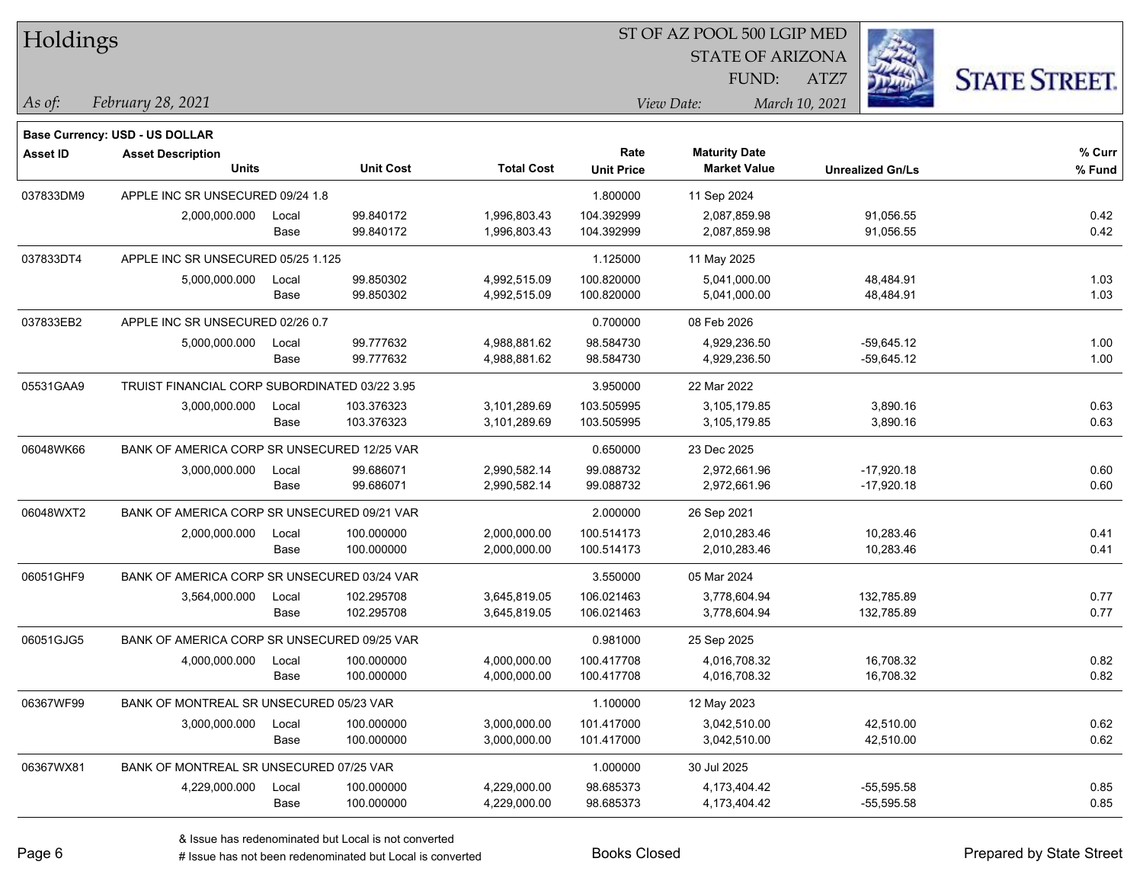| Holdings        |                                               |       |                  | ST OF AZ POOL 500 LGIP MED |                   |                      |                         |                      |  |  |
|-----------------|-----------------------------------------------|-------|------------------|----------------------------|-------------------|----------------------|-------------------------|----------------------|--|--|
|                 |                                               |       |                  |                            |                   |                      |                         |                      |  |  |
|                 |                                               |       |                  |                            |                   | FUND:                | ATZ7                    | <b>STATE STREET.</b> |  |  |
| As of:          | February 28, 2021                             |       |                  |                            |                   | View Date:           | March 10, 2021          |                      |  |  |
|                 | Base Currency: USD - US DOLLAR                |       |                  |                            |                   |                      |                         |                      |  |  |
| <b>Asset ID</b> | <b>Asset Description</b>                      |       |                  |                            | Rate              | <b>Maturity Date</b> |                         | % Curr               |  |  |
|                 | <b>Units</b>                                  |       | <b>Unit Cost</b> | <b>Total Cost</b>          | <b>Unit Price</b> | <b>Market Value</b>  | <b>Unrealized Gn/Ls</b> | % Fund               |  |  |
| 037833DM9       | APPLE INC SR UNSECURED 09/24 1.8              |       |                  |                            | 1.800000          | 11 Sep 2024          |                         |                      |  |  |
|                 | 2,000,000.000                                 | Local | 99.840172        | 1,996,803.43               | 104.392999        | 2,087,859.98         | 91,056.55               | 0.42                 |  |  |
|                 |                                               | Base  | 99.840172        | 1,996,803.43               | 104.392999        | 2,087,859.98         | 91,056.55               | 0.42                 |  |  |
| 037833DT4       | APPLE INC SR UNSECURED 05/25 1.125            |       |                  |                            | 1.125000          | 11 May 2025          |                         |                      |  |  |
|                 | 5,000,000.000                                 | Local | 99.850302        | 4,992,515.09               | 100.820000        | 5,041,000.00         | 48,484.91               | 1.03                 |  |  |
|                 |                                               | Base  | 99.850302        | 4,992,515.09               | 100.820000        | 5,041,000.00         | 48,484.91               | 1.03                 |  |  |
| 037833EB2       | APPLE INC SR UNSECURED 02/26 0.7              |       |                  |                            | 0.700000          | 08 Feb 2026          |                         |                      |  |  |
|                 | 5,000,000.000                                 | Local | 99.777632        | 4,988,881.62               | 98.584730         | 4,929,236.50         | $-59,645.12$            | 1.00                 |  |  |
|                 |                                               | Base  | 99.777632        | 4,988,881.62               | 98.584730         | 4,929,236.50         | $-59,645.12$            | 1.00                 |  |  |
| 05531GAA9       | TRUIST FINANCIAL CORP SUBORDINATED 03/22 3.95 |       |                  |                            | 3.950000          | 22 Mar 2022          |                         |                      |  |  |
|                 | 3,000,000.000                                 | Local | 103.376323       | 3,101,289.69               | 103.505995        | 3,105,179.85         | 3,890.16                | 0.63                 |  |  |
|                 |                                               | Base  | 103.376323       | 3,101,289.69               | 103.505995        | 3,105,179.85         | 3,890.16                | 0.63                 |  |  |
| 06048WK66       | BANK OF AMERICA CORP SR UNSECURED 12/25 VAR   |       |                  |                            | 0.650000          | 23 Dec 2025          |                         |                      |  |  |
|                 | 3,000,000.000                                 | Local | 99.686071        | 2,990,582.14               | 99.088732         | 2,972,661.96         | $-17,920.18$            | 0.60                 |  |  |
|                 |                                               | Base  | 99.686071        | 2,990,582.14               | 99.088732         | 2,972,661.96         | $-17,920.18$            | 0.60                 |  |  |
| 06048WXT2       | BANK OF AMERICA CORP SR UNSECURED 09/21 VAR   |       |                  |                            | 2.000000          | 26 Sep 2021          |                         |                      |  |  |
|                 | 2,000,000.000                                 | Local | 100.000000       | 2,000,000.00               | 100.514173        | 2,010,283.46         | 10,283.46               | 0.41                 |  |  |
|                 |                                               | Base  | 100.000000       | 2,000,000.00               | 100.514173        | 2,010,283.46         | 10,283.46               | 0.41                 |  |  |
| 06051GHF9       | BANK OF AMERICA CORP SR UNSECURED 03/24 VAR   |       |                  |                            | 3.550000          | 05 Mar 2024          |                         |                      |  |  |
|                 | 3,564,000.000                                 | Local | 102.295708       | 3,645,819.05               | 106.021463        | 3,778,604.94         | 132,785.89              | 0.77                 |  |  |
|                 |                                               | Base  | 102.295708       | 3,645,819.05               | 106.021463        | 3,778,604.94         | 132,785.89              | 0.77                 |  |  |
| 06051GJG5       | BANK OF AMERICA CORP SR UNSECURED 09/25 VAR   |       |                  |                            | 0.981000          | 25 Sep 2025          |                         |                      |  |  |
|                 | 4,000,000.000                                 | Local | 100.000000       | 4,000,000.00               | 100.417708        | 4,016,708.32         | 16,708.32               | 0.82                 |  |  |
|                 |                                               | Base  | 100.000000       | 4,000,000.00               | 100.417708        | 4,016,708.32         | 16,708.32               | 0.82                 |  |  |
| 06367WF99       | BANK OF MONTREAL SR UNSECURED 05/23 VAR       |       |                  |                            | 1.100000          | 12 May 2023          |                         |                      |  |  |
|                 | 3,000,000.000                                 | Local | 100.000000       | 3,000,000.00               | 101.417000        | 3,042,510.00         | 42,510.00               | 0.62                 |  |  |
|                 |                                               | Base  | 100.000000       | 3,000,000.00               | 101.417000        | 3,042,510.00         | 42,510.00               | 0.62                 |  |  |
| 06367WX81       | BANK OF MONTREAL SR UNSECURED 07/25 VAR       |       |                  |                            | 1.000000          | 30 Jul 2025          |                         |                      |  |  |
|                 | 4,229,000.000                                 | Local | 100.000000       | 4,229,000.00               | 98.685373         | 4,173,404.42         | $-55,595.58$            | 0.85                 |  |  |
|                 |                                               | Base  | 100.000000       | 4,229,000.00               | 98.685373         | 4,173,404.42         | $-55,595.58$            | 0.85                 |  |  |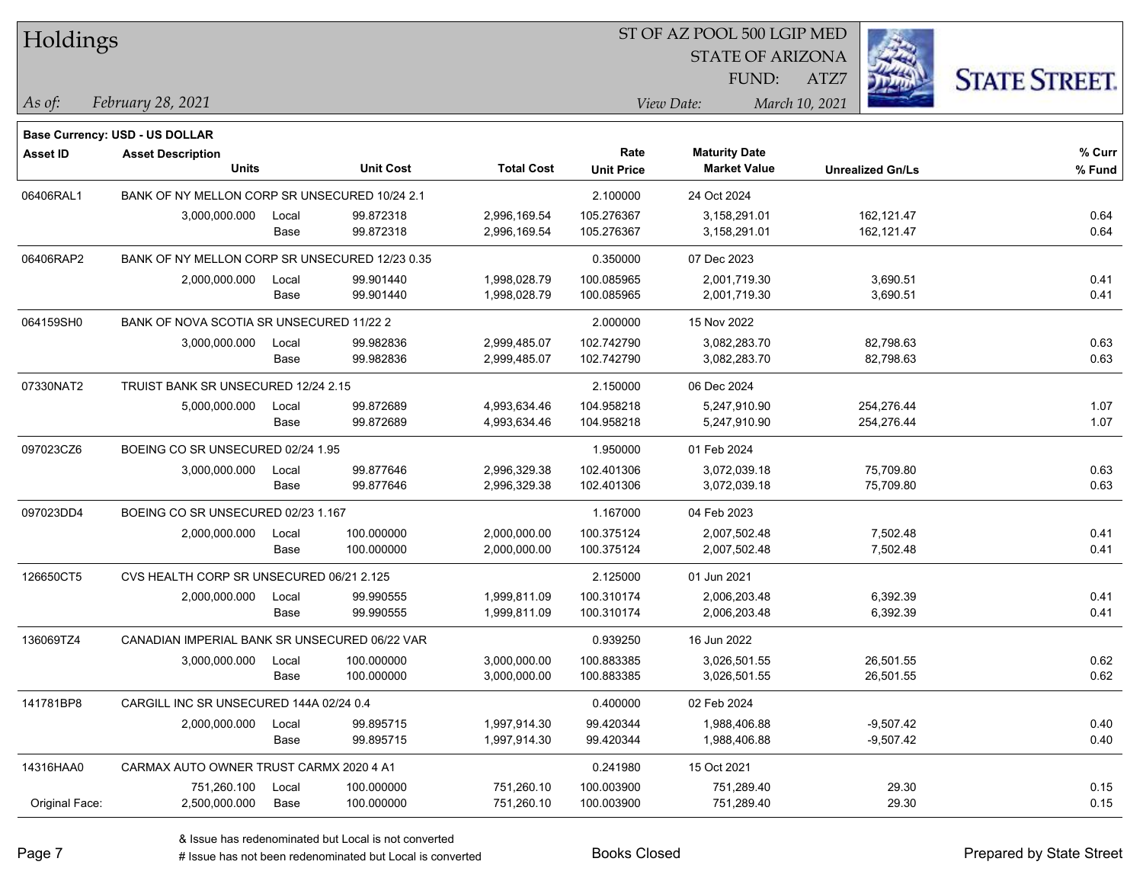| Holdings        |                                                |       |                  |                   |                   | ST OF AZ POOL 500 LGIP MED |                         |                      |  |
|-----------------|------------------------------------------------|-------|------------------|-------------------|-------------------|----------------------------|-------------------------|----------------------|--|
|                 |                                                |       |                  |                   |                   | <b>STATE OF ARIZONA</b>    |                         |                      |  |
|                 |                                                |       |                  |                   |                   | FUND:                      | ATZ7                    | <b>STATE STREET.</b> |  |
| As of:          | February 28, 2021                              |       |                  |                   |                   | View Date:                 | March 10, 2021          |                      |  |
|                 | Base Currency: USD - US DOLLAR                 |       |                  |                   |                   |                            |                         |                      |  |
| <b>Asset ID</b> | <b>Asset Description</b>                       |       |                  |                   | Rate              | <b>Maturity Date</b>       |                         | % Curr               |  |
|                 | <b>Units</b>                                   |       | <b>Unit Cost</b> | <b>Total Cost</b> | <b>Unit Price</b> | <b>Market Value</b>        | <b>Unrealized Gn/Ls</b> | % Fund               |  |
| 06406RAL1       | BANK OF NY MELLON CORP SR UNSECURED 10/24 2.1  |       |                  |                   | 2.100000          | 24 Oct 2024                |                         |                      |  |
|                 | 3,000,000.000                                  | Local | 99.872318        | 2,996,169.54      | 105.276367        | 3,158,291.01               | 162,121.47              | 0.64                 |  |
|                 |                                                | Base  | 99.872318        | 2,996,169.54      | 105.276367        | 3,158,291.01               | 162,121.47              | 0.64                 |  |
| 06406RAP2       | BANK OF NY MELLON CORP SR UNSECURED 12/23 0.35 |       |                  |                   | 0.350000          | 07 Dec 2023                |                         |                      |  |
|                 | 2,000,000.000                                  | Local | 99.901440        | 1,998,028.79      | 100.085965        | 2,001,719.30               | 3,690.51                | 0.41                 |  |
|                 |                                                | Base  | 99.901440        | 1,998,028.79      | 100.085965        | 2,001,719.30               | 3,690.51                | 0.41                 |  |
| 064159SH0       | BANK OF NOVA SCOTIA SR UNSECURED 11/22 2       |       |                  |                   | 2.000000          | 15 Nov 2022                |                         |                      |  |
|                 | 3,000,000.000                                  | Local | 99.982836        | 2,999,485.07      | 102.742790        | 3,082,283.70               | 82,798.63               | 0.63                 |  |
|                 |                                                | Base  | 99.982836        | 2,999,485.07      | 102.742790        | 3,082,283.70               | 82,798.63               | 0.63                 |  |
| 07330NAT2       | TRUIST BANK SR UNSECURED 12/24 2.15            |       |                  |                   | 2.150000          | 06 Dec 2024                |                         |                      |  |
|                 | 5,000,000.000                                  | Local | 99.872689        | 4,993,634.46      | 104.958218        | 5,247,910.90               | 254,276.44              | 1.07                 |  |
|                 |                                                | Base  | 99.872689        | 4,993,634.46      | 104.958218        | 5,247,910.90               | 254,276.44              | 1.07                 |  |
| 097023CZ6       | BOEING CO SR UNSECURED 02/24 1.95              |       |                  |                   | 1.950000          | 01 Feb 2024                |                         |                      |  |
|                 | 3,000,000.000                                  | Local | 99.877646        | 2,996,329.38      | 102.401306        | 3,072,039.18               | 75,709.80               | 0.63                 |  |
|                 |                                                | Base  | 99.877646        | 2,996,329.38      | 102.401306        | 3,072,039.18               | 75,709.80               | 0.63                 |  |
| 097023DD4       | BOEING CO SR UNSECURED 02/23 1.167             |       |                  |                   | 1.167000          | 04 Feb 2023                |                         |                      |  |
|                 | 2,000,000.000                                  | Local | 100.000000       | 2,000,000.00      | 100.375124        | 2,007,502.48               | 7,502.48                | 0.41                 |  |
|                 |                                                | Base  | 100.000000       | 2,000,000.00      | 100.375124        | 2,007,502.48               | 7,502.48                | 0.41                 |  |
| 126650CT5       | CVS HEALTH CORP SR UNSECURED 06/21 2.125       |       |                  |                   | 2.125000          | 01 Jun 2021                |                         |                      |  |
|                 | 2,000,000.000                                  | Local | 99.990555        | 1,999,811.09      | 100.310174        | 2,006,203.48               | 6,392.39                | 0.41                 |  |
|                 |                                                | Base  | 99.990555        | 1,999,811.09      | 100.310174        | 2,006,203.48               | 6,392.39                | 0.41                 |  |
| 136069TZ4       | CANADIAN IMPERIAL BANK SR UNSECURED 06/22 VAR  |       |                  |                   | 0.939250          | 16 Jun 2022                |                         |                      |  |
|                 | 3,000,000.000                                  | Local | 100.000000       | 3,000,000.00      | 100.883385        | 3,026,501.55               | 26,501.55               | 0.62                 |  |
|                 |                                                | Base  | 100.000000       | 3,000,000.00      | 100.883385        | 3,026,501.55               | 26,501.55               | 0.62                 |  |
| 141781BP8       | CARGILL INC SR UNSECURED 144A 02/24 0.4        |       |                  |                   | 0.400000          | 02 Feb 2024                |                         |                      |  |
|                 | 2,000,000.000                                  | Local | 99.895715        | 1,997,914.30      | 99.420344         | 1,988,406.88               | $-9,507.42$             | 0.40                 |  |
|                 |                                                | Base  | 99.895715        | 1,997,914.30      | 99.420344         | 1,988,406.88               | $-9,507.42$             | 0.40                 |  |
| 14316HAA0       | CARMAX AUTO OWNER TRUST CARMX 2020 4 A1        |       |                  |                   | 0.241980          | 15 Oct 2021                |                         |                      |  |
|                 | 751,260.100                                    | Local | 100.000000       | 751,260.10        | 100.003900        | 751,289.40                 | 29.30                   | 0.15                 |  |
| Original Face:  | 2,500,000.000                                  | Base  | 100.000000       | 751,260.10        | 100.003900        | 751,289.40                 | 29.30                   | 0.15                 |  |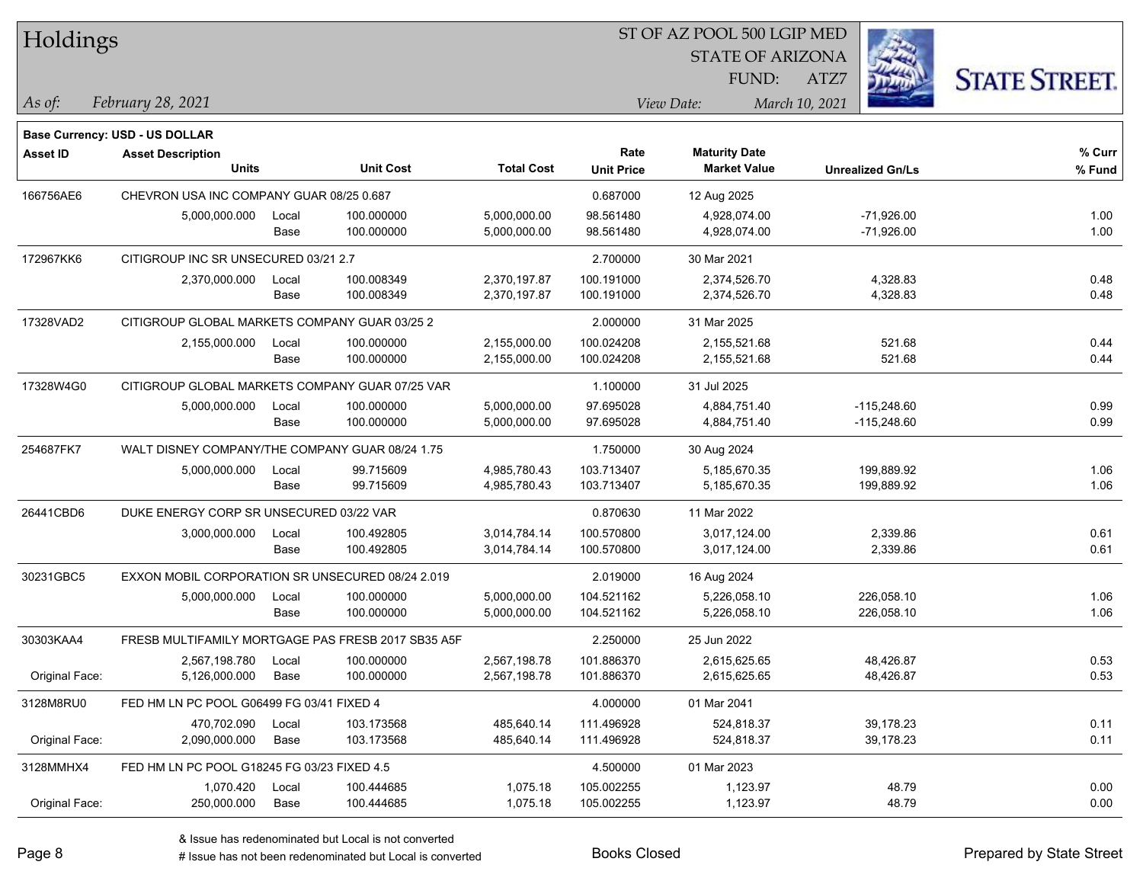| <b>Holdings</b> |                                                  |       |                                                    |                   | 51 OF AZ POOL 500 LGIP MED |                         |                         |                      |
|-----------------|--------------------------------------------------|-------|----------------------------------------------------|-------------------|----------------------------|-------------------------|-------------------------|----------------------|
|                 |                                                  |       |                                                    |                   |                            | <b>STATE OF ARIZONA</b> |                         |                      |
|                 |                                                  |       |                                                    |                   |                            | FUND:                   | ATZ7                    | <b>STATE STREET.</b> |
| As of:          | February 28, 2021                                |       |                                                    |                   |                            | View Date:              | March 10, 2021          |                      |
|                 | <b>Base Currency: USD - US DOLLAR</b>            |       |                                                    |                   |                            |                         |                         |                      |
| <b>Asset ID</b> | <b>Asset Description</b>                         |       |                                                    |                   | Rate                       | <b>Maturity Date</b>    |                         | % Curr               |
|                 | <b>Units</b>                                     |       | <b>Unit Cost</b>                                   | <b>Total Cost</b> | <b>Unit Price</b>          | <b>Market Value</b>     | <b>Unrealized Gn/Ls</b> | % Fund               |
| 166756AE6       | CHEVRON USA INC COMPANY GUAR 08/25 0.687         |       |                                                    |                   | 0.687000                   | 12 Aug 2025             |                         |                      |
|                 | 5,000,000.000                                    | Local | 100.000000                                         | 5,000,000.00      | 98.561480                  | 4,928,074.00            | $-71,926.00$            | 1.00                 |
|                 |                                                  | Base  | 100.000000                                         | 5,000,000.00      | 98.561480                  | 4,928,074.00            | $-71,926.00$            | 1.00                 |
| 172967KK6       | CITIGROUP INC SR UNSECURED 03/21 2.7             |       |                                                    |                   | 2.700000                   | 30 Mar 2021             |                         |                      |
|                 | 2,370,000.000                                    | Local | 100.008349                                         | 2,370,197.87      | 100.191000                 | 2,374,526.70            | 4,328.83                | 0.48                 |
|                 |                                                  | Base  | 100.008349                                         | 2,370,197.87      | 100.191000                 | 2,374,526.70            | 4,328.83                | 0.48                 |
| 17328VAD2       | CITIGROUP GLOBAL MARKETS COMPANY GUAR 03/25 2    |       |                                                    |                   | 2.000000                   | 31 Mar 2025             |                         |                      |
|                 | 2,155,000.000                                    | Local | 100.000000                                         | 2,155,000.00      | 100.024208                 | 2,155,521.68            | 521.68                  | 0.44                 |
|                 |                                                  | Base  | 100.000000                                         | 2,155,000.00      | 100.024208                 | 2,155,521.68            | 521.68                  | 0.44                 |
| 17328W4G0       | CITIGROUP GLOBAL MARKETS COMPANY GUAR 07/25 VAR  |       |                                                    |                   | 1.100000                   | 31 Jul 2025             |                         |                      |
|                 | 5,000,000.000                                    | Local | 100.000000                                         | 5,000,000.00      | 97.695028                  | 4,884,751.40            | $-115,248.60$           | 0.99                 |
|                 |                                                  | Base  | 100.000000                                         | 5,000,000.00      | 97.695028                  | 4,884,751.40            | $-115,248.60$           | 0.99                 |
| 254687FK7       | WALT DISNEY COMPANY/THE COMPANY GUAR 08/24 1.75  |       |                                                    |                   | 1.750000                   | 30 Aug 2024             |                         |                      |
|                 | 5,000,000.000                                    | Local | 99.715609                                          | 4,985,780.43      | 103.713407                 | 5,185,670.35            | 199,889.92              | 1.06                 |
|                 |                                                  | Base  | 99.715609                                          | 4,985,780.43      | 103.713407                 | 5,185,670.35            | 199,889.92              | 1.06                 |
| 26441CBD6       | DUKE ENERGY CORP SR UNSECURED 03/22 VAR          |       |                                                    |                   | 0.870630                   | 11 Mar 2022             |                         |                      |
|                 | 3,000,000.000                                    | Local | 100.492805                                         | 3,014,784.14      | 100.570800                 | 3,017,124.00            | 2,339.86                | 0.61                 |
|                 |                                                  | Base  | 100.492805                                         | 3,014,784.14      | 100.570800                 | 3,017,124.00            | 2,339.86                | 0.61                 |
| 30231GBC5       | EXXON MOBIL CORPORATION SR UNSECURED 08/24 2.019 |       |                                                    |                   | 2.019000                   | 16 Aug 2024             |                         |                      |
|                 | 5,000,000.000                                    | Local | 100.000000                                         | 5,000,000.00      | 104.521162                 | 5,226,058.10            | 226,058.10              | 1.06                 |
|                 |                                                  | Base  | 100.000000                                         | 5,000,000.00      | 104.521162                 | 5,226,058.10            | 226,058.10              | 1.06                 |
| 30303KAA4       |                                                  |       | FRESB MULTIFAMILY MORTGAGE PAS FRESB 2017 SB35 A5F |                   | 2.250000                   | 25 Jun 2022             |                         |                      |
|                 | 2,567,198.780                                    | Local | 100.000000                                         | 2,567,198.78      | 101.886370                 | 2,615,625.65            | 48,426.87               | 0.53                 |
| Original Face:  | 5,126,000.000                                    | Base  | 100.000000                                         | 2,567,198.78      | 101.886370                 | 2,615,625.65            | 48,426.87               | 0.53                 |
| 3128M8RU0       | FED HM LN PC POOL G06499 FG 03/41 FIXED 4        |       |                                                    |                   | 4.000000                   | 01 Mar 2041             |                         |                      |
|                 | 470,702.090                                      | Local | 103.173568                                         | 485,640.14        | 111.496928                 | 524,818.37              | 39,178.23               | 0.11                 |
| Original Face:  | 2,090,000.000                                    | Base  | 103.173568                                         | 485,640.14        | 111.496928                 | 524,818.37              | 39,178.23               | 0.11                 |
| 3128MMHX4       | FED HM LN PC POOL G18245 FG 03/23 FIXED 4.5      |       |                                                    |                   | 4.500000                   | 01 Mar 2023             |                         |                      |
|                 | 1,070.420                                        | Local | 100.444685                                         | 1,075.18          | 105.002255                 | 1,123.97                | 48.79                   | 0.00                 |
| Original Face:  | 250,000.000                                      | Base  | 100.444685                                         | 1,075.18          | 105.002255                 | 1,123.97                | 48.79                   | 0.00                 |

 $\overline{\text{SP } \overline{\text{SP } \text{O}}$ 

٦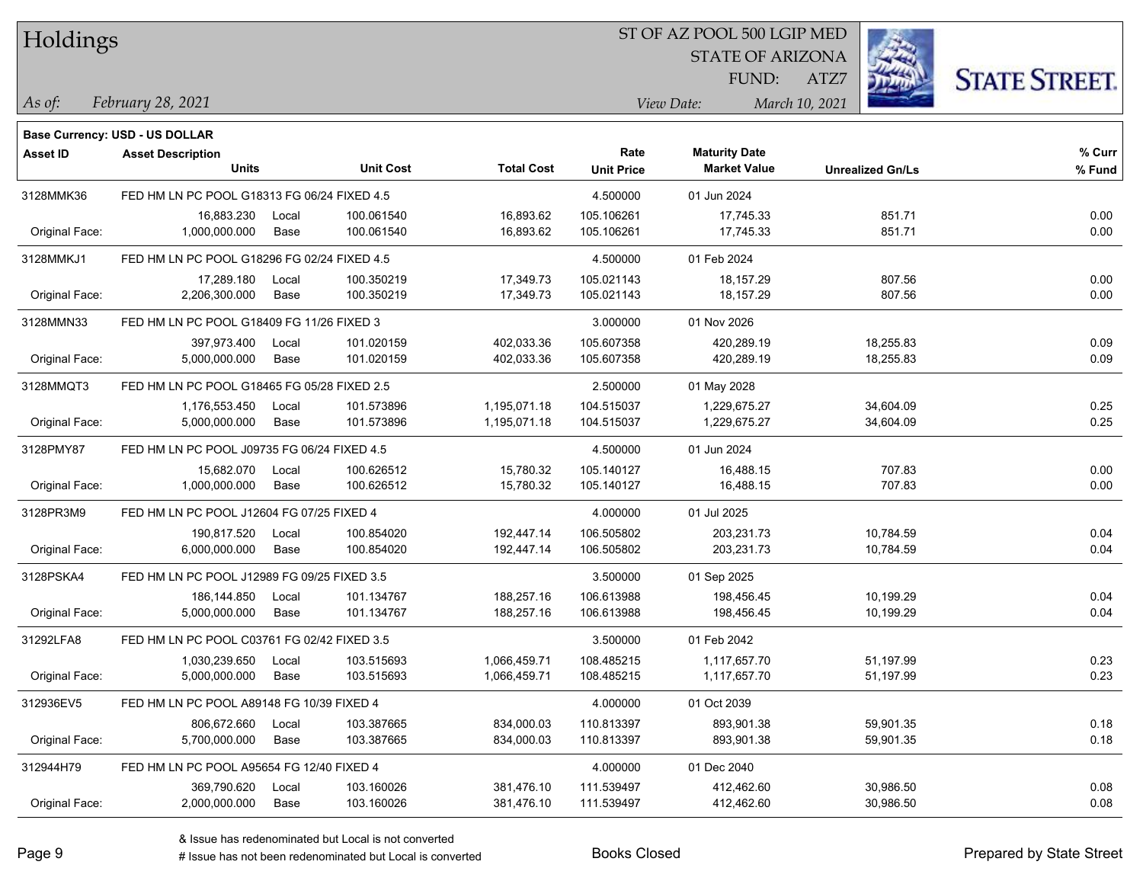| Holdings |
|----------|
|          |

### ST OF AZ POOL 500 LGIP MED

STATE OF ARIZONA

ATZ7



*February 28, 2021 As of: View Date: March 10, 2021*

FUND:

|                 | <b>Base Currency: USD - US DOLLAR</b>       |                                             |                  |                   |                   |                      |                         |        |
|-----------------|---------------------------------------------|---------------------------------------------|------------------|-------------------|-------------------|----------------------|-------------------------|--------|
| <b>Asset ID</b> | <b>Asset Description</b>                    |                                             |                  |                   | Rate              | <b>Maturity Date</b> |                         | % Curr |
|                 | <b>Units</b>                                |                                             | <b>Unit Cost</b> | <b>Total Cost</b> | <b>Unit Price</b> | <b>Market Value</b>  | <b>Unrealized Gn/Ls</b> | % Fund |
| 3128MMK36       | FED HM LN PC POOL G18313 FG 06/24 FIXED 4.5 |                                             |                  |                   | 4.500000          | 01 Jun 2024          |                         |        |
|                 | 16,883.230                                  | Local                                       | 100.061540       | 16,893.62         | 105.106261        | 17,745.33            | 851.71                  | 0.00   |
| Original Face:  | 1,000,000.000                               | Base                                        | 100.061540       | 16,893.62         | 105.106261        | 17,745.33            | 851.71                  | 0.00   |
| 3128MMKJ1       |                                             | FED HM LN PC POOL G18296 FG 02/24 FIXED 4.5 |                  |                   | 4.500000          | 01 Feb 2024          |                         |        |
|                 | 17,289.180                                  | Local                                       | 100.350219       | 17,349.73         | 105.021143        | 18,157.29            | 807.56                  | 0.00   |
| Original Face:  | 2,206,300.000                               | Base                                        | 100.350219       | 17,349.73         | 105.021143        | 18,157.29            | 807.56                  | 0.00   |
| 3128MMN33       | FED HM LN PC POOL G18409 FG 11/26 FIXED 3   |                                             |                  |                   | 3.000000          | 01 Nov 2026          |                         |        |
|                 | 397,973.400                                 | Local                                       | 101.020159       | 402,033.36        | 105.607358        | 420,289.19           | 18,255.83               | 0.09   |
| Original Face:  | 5,000,000.000                               | Base                                        | 101.020159       | 402,033.36        | 105.607358        | 420,289.19           | 18,255.83               | 0.09   |
| 3128MMQT3       | FED HM LN PC POOL G18465 FG 05/28 FIXED 2.5 |                                             |                  |                   | 2.500000          | 01 May 2028          |                         |        |
|                 | 1,176,553.450                               | Local                                       | 101.573896       | 1,195,071.18      | 104.515037        | 1,229,675.27         | 34,604.09               | 0.25   |
| Original Face:  | 5,000,000.000                               | Base                                        | 101.573896       | 1,195,071.18      | 104.515037        | 1,229,675.27         | 34,604.09               | 0.25   |
| 3128PMY87       | FED HM LN PC POOL J09735 FG 06/24 FIXED 4.5 |                                             |                  |                   | 4.500000          | 01 Jun 2024          |                         |        |
|                 | 15,682.070                                  | Local                                       | 100.626512       | 15,780.32         | 105.140127        | 16,488.15            | 707.83                  | 0.00   |
| Original Face:  | 1,000,000.000                               | Base                                        | 100.626512       | 15,780.32         | 105.140127        | 16,488.15            | 707.83                  | 0.00   |
| 3128PR3M9       | FED HM LN PC POOL J12604 FG 07/25 FIXED 4   |                                             |                  |                   | 4.000000          | 01 Jul 2025          |                         |        |
|                 | 190,817.520                                 | Local                                       | 100.854020       | 192,447.14        | 106.505802        | 203,231.73           | 10,784.59               | 0.04   |
| Original Face:  | 6,000,000.000                               | Base                                        | 100.854020       | 192,447.14        | 106.505802        | 203,231.73           | 10,784.59               | 0.04   |
| 3128PSKA4       | FED HM LN PC POOL J12989 FG 09/25 FIXED 3.5 |                                             |                  |                   | 3.500000          | 01 Sep 2025          |                         |        |
|                 | 186,144.850                                 | Local                                       | 101.134767       | 188,257.16        | 106.613988        | 198,456.45           | 10,199.29               | 0.04   |
| Original Face:  | 5,000,000.000                               | Base                                        | 101.134767       | 188,257.16        | 106.613988        | 198,456.45           | 10,199.29               | 0.04   |
| 31292LFA8       | FED HM LN PC POOL C03761 FG 02/42 FIXED 3.5 |                                             |                  |                   | 3.500000          | 01 Feb 2042          |                         |        |
|                 | 1,030,239.650                               | Local                                       | 103.515693       | 1,066,459.71      | 108.485215        | 1,117,657.70         | 51,197.99               | 0.23   |
| Original Face:  | 5,000,000.000                               | Base                                        | 103.515693       | 1,066,459.71      | 108.485215        | 1,117,657.70         | 51,197.99               | 0.23   |
| 312936EV5       | FED HM LN PC POOL A89148 FG 10/39 FIXED 4   |                                             |                  |                   | 4.000000          | 01 Oct 2039          |                         |        |
|                 | 806,672.660                                 | Local                                       | 103.387665       | 834,000.03        | 110.813397        | 893,901.38           | 59,901.35               | 0.18   |
| Original Face:  | 5,700,000.000                               | Base                                        | 103.387665       | 834,000.03        | 110.813397        | 893,901.38           | 59,901.35               | 0.18   |
| 312944H79       | FED HM LN PC POOL A95654 FG 12/40 FIXED 4   |                                             |                  |                   | 4.000000          | 01 Dec 2040          |                         |        |
|                 | 369,790.620                                 | Local                                       | 103.160026       | 381,476.10        | 111.539497        | 412,462.60           | 30,986.50               | 0.08   |
| Original Face:  | 2,000,000.000                               | Base                                        | 103.160026       | 381,476.10        | 111.539497        | 412,462.60           | 30,986.50               | 0.08   |

# Issue has not been redenominated but Local is converted Books Closed Prepared by State Street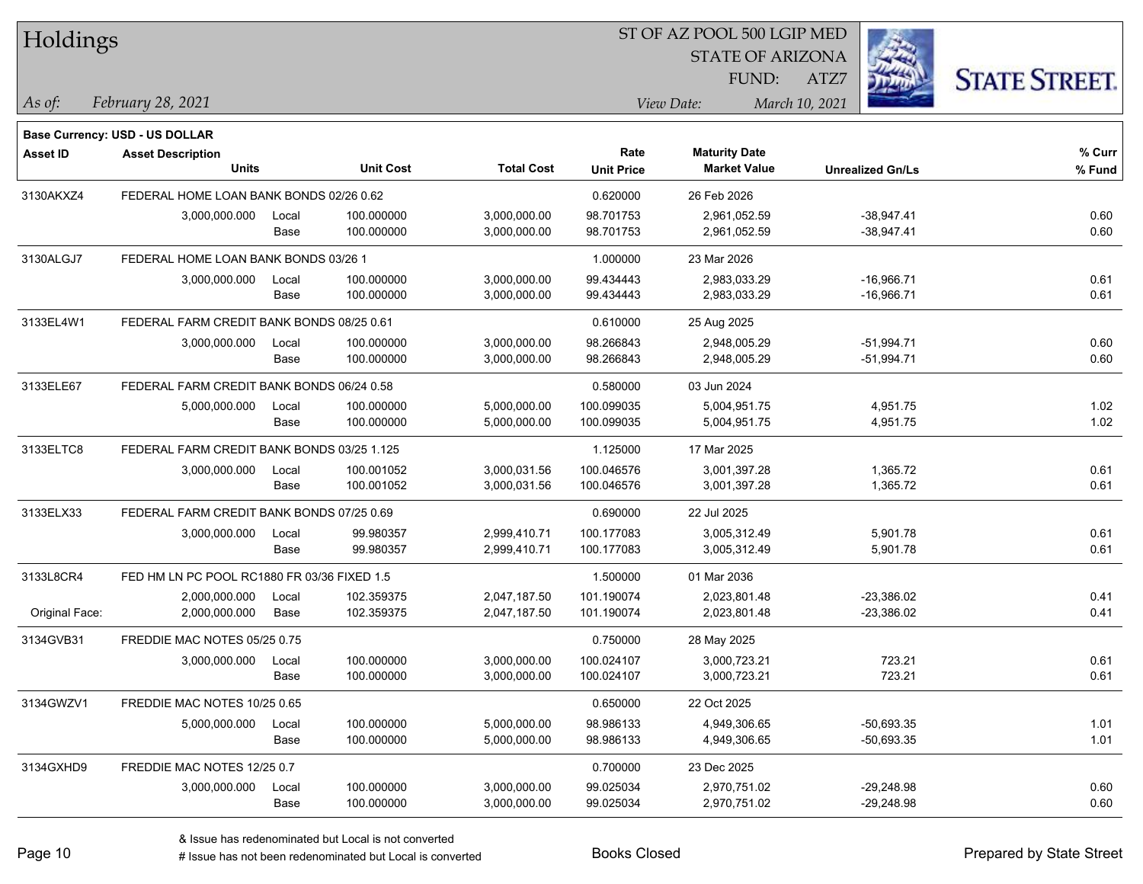| Holdings        |                                             |       |                  |                   |                   | ST OF AZ POOL 500 LGIP MED |                         |                      |
|-----------------|---------------------------------------------|-------|------------------|-------------------|-------------------|----------------------------|-------------------------|----------------------|
|                 |                                             |       |                  |                   |                   | <b>STATE OF ARIZONA</b>    |                         |                      |
|                 |                                             |       |                  |                   |                   | FUND:                      | ATZ7                    | <b>STATE STREET.</b> |
| As of:          | February 28, 2021                           |       |                  |                   |                   | View Date:                 | March 10, 2021          |                      |
|                 |                                             |       |                  |                   |                   |                            |                         |                      |
|                 | <b>Base Currency: USD - US DOLLAR</b>       |       |                  |                   |                   |                            |                         |                      |
| <b>Asset ID</b> | <b>Asset Description</b>                    |       |                  |                   | Rate              | <b>Maturity Date</b>       |                         | % Curr               |
|                 | <b>Units</b>                                |       | <b>Unit Cost</b> | <b>Total Cost</b> | <b>Unit Price</b> | <b>Market Value</b>        | <b>Unrealized Gn/Ls</b> | % Fund               |
| 3130AKXZ4       | FEDERAL HOME LOAN BANK BONDS 02/26 0.62     |       |                  |                   | 0.620000          | 26 Feb 2026                |                         |                      |
|                 | 3,000,000.000                               | Local | 100.000000       | 3,000,000.00      | 98.701753         | 2,961,052.59               | $-38,947.41$            | 0.60                 |
|                 |                                             | Base  | 100.000000       | 3,000,000.00      | 98.701753         | 2,961,052.59               | $-38,947.41$            | 0.60                 |
| 3130ALGJ7       | FEDERAL HOME LOAN BANK BONDS 03/26 1        |       |                  |                   | 1.000000          | 23 Mar 2026                |                         |                      |
|                 | 3,000,000.000                               | Local | 100.000000       | 3,000,000.00      | 99.434443         | 2,983,033.29               | $-16,966.71$            | 0.61                 |
|                 |                                             | Base  | 100.000000       | 3,000,000.00      | 99.434443         | 2,983,033.29               | $-16,966.71$            | 0.61                 |
| 3133EL4W1       | FEDERAL FARM CREDIT BANK BONDS 08/25 0.61   |       |                  |                   | 0.610000          | 25 Aug 2025                |                         |                      |
|                 | 3,000,000.000                               | Local | 100.000000       | 3,000,000.00      | 98.266843         | 2,948,005.29               | $-51,994.71$            | 0.60                 |
|                 |                                             | Base  | 100.000000       | 3,000,000.00      | 98.266843         | 2,948,005.29               | $-51,994.71$            | 0.60                 |
| 3133ELE67       | FEDERAL FARM CREDIT BANK BONDS 06/24 0.58   |       |                  |                   | 0.580000          | 03 Jun 2024                |                         |                      |
|                 | 5,000,000.000                               | Local | 100.000000       | 5,000,000.00      | 100.099035        | 5,004,951.75               | 4,951.75                | 1.02                 |
|                 |                                             | Base  | 100.000000       | 5,000,000.00      | 100.099035        | 5,004,951.75               | 4,951.75                | 1.02                 |
| 3133ELTC8       | FEDERAL FARM CREDIT BANK BONDS 03/25 1.125  |       |                  |                   | 1.125000          | 17 Mar 2025                |                         |                      |
|                 | 3,000,000.000                               | Local | 100.001052       | 3,000,031.56      | 100.046576        | 3,001,397.28               | 1,365.72                | 0.61                 |
|                 |                                             | Base  | 100.001052       | 3,000,031.56      | 100.046576        | 3,001,397.28               | 1,365.72                | 0.61                 |
| 3133ELX33       | FEDERAL FARM CREDIT BANK BONDS 07/25 0.69   |       |                  |                   | 0.690000          | 22 Jul 2025                |                         |                      |
|                 | 3,000,000.000                               | Local | 99.980357        | 2,999,410.71      | 100.177083        | 3,005,312.49               | 5,901.78                | 0.61                 |
|                 |                                             | Base  | 99.980357        | 2,999,410.71      | 100.177083        | 3,005,312.49               | 5,901.78                | 0.61                 |
| 3133L8CR4       | FED HM LN PC POOL RC1880 FR 03/36 FIXED 1.5 |       |                  |                   | 1.500000          | 01 Mar 2036                |                         |                      |
|                 | 2,000,000.000                               | Local | 102.359375       | 2,047,187.50      | 101.190074        | 2,023,801.48               | $-23,386.02$            | 0.41                 |
| Original Face:  | 2,000,000.000                               | Base  | 102.359375       | 2,047,187.50      | 101.190074        | 2,023,801.48               | $-23,386.02$            | 0.41                 |
| 3134GVB31       | FREDDIE MAC NOTES 05/25 0.75                |       |                  |                   | 0.750000          | 28 May 2025                |                         |                      |
|                 | 3,000,000.000                               | Local | 100.000000       | 3,000,000.00      | 100.024107        | 3,000,723.21               | 723.21                  | 0.61                 |
|                 |                                             | Base  | 100.000000       | 3,000,000.00      | 100.024107        | 3,000,723.21               | 723.21                  | 0.61                 |
| 3134GWZV1       | FREDDIE MAC NOTES 10/25 0.65                |       |                  |                   | 0.650000          | 22 Oct 2025                |                         |                      |
|                 | 5,000,000.000                               | Local | 100.000000       | 5,000,000.00      | 98.986133         | 4,949,306.65               | $-50,693.35$            | 1.01                 |
|                 |                                             | Base  | 100.000000       | 5,000,000.00      | 98.986133         | 4,949,306.65               | $-50,693.35$            | 1.01                 |
| 3134GXHD9       | FREDDIE MAC NOTES 12/25 0.7                 |       |                  |                   | 0.700000          | 23 Dec 2025                |                         |                      |
|                 | 3,000,000.000                               | Local | 100.000000       | 3,000,000.00      | 99.025034         | 2,970,751.02               | $-29,248.98$            | 0.60                 |
|                 |                                             | Base  | 100.000000       | 3,000,000.00      | 99.025034         | 2,970,751.02               | $-29,248.98$            | 0.60                 |
|                 |                                             |       |                  |                   |                   |                            |                         |                      |

٦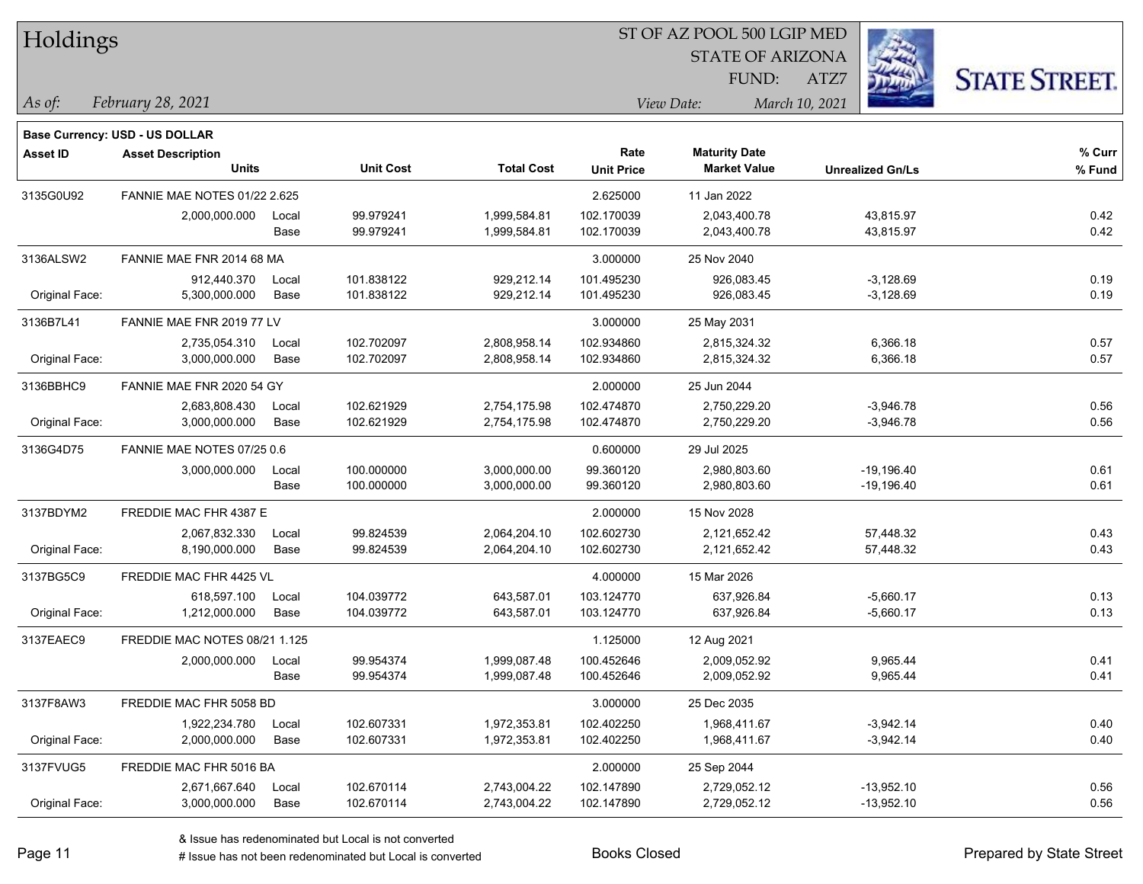| Holdings        |                                                                   |       |                  | ST OF AZ POOL 500 LGIP MED |                   |                         |                         |                      |  |  |
|-----------------|-------------------------------------------------------------------|-------|------------------|----------------------------|-------------------|-------------------------|-------------------------|----------------------|--|--|
|                 |                                                                   |       |                  |                            |                   | <b>STATE OF ARIZONA</b> |                         |                      |  |  |
|                 |                                                                   |       |                  |                            |                   | FUND:                   | ATZ7                    | <b>STATE STREET.</b> |  |  |
| As of:          | February 28, 2021                                                 |       |                  |                            |                   | View Date:              | March 10, 2021          |                      |  |  |
|                 |                                                                   |       |                  |                            |                   |                         |                         |                      |  |  |
| <b>Asset ID</b> | <b>Base Currency: USD - US DOLLAR</b><br><b>Asset Description</b> |       |                  |                            | Rate              | <b>Maturity Date</b>    |                         | % Curr               |  |  |
|                 | <b>Units</b>                                                      |       | <b>Unit Cost</b> | <b>Total Cost</b>          | <b>Unit Price</b> | <b>Market Value</b>     | <b>Unrealized Gn/Ls</b> | % Fund               |  |  |
| 3135G0U92       | FANNIE MAE NOTES 01/22 2.625                                      |       |                  |                            | 2.625000          | 11 Jan 2022             |                         |                      |  |  |
|                 | 2,000,000.000                                                     | Local | 99.979241        | 1,999,584.81               | 102.170039        | 2,043,400.78            | 43,815.97               | 0.42                 |  |  |
|                 |                                                                   | Base  | 99.979241        | 1,999,584.81               | 102.170039        | 2,043,400.78            | 43,815.97               | 0.42                 |  |  |
| 3136ALSW2       | FANNIE MAE FNR 2014 68 MA                                         |       |                  |                            | 3.000000          | 25 Nov 2040             |                         |                      |  |  |
|                 | 912,440.370                                                       | Local | 101.838122       | 929,212.14                 | 101.495230        | 926,083.45              | $-3,128.69$             | 0.19                 |  |  |
| Original Face:  | 5,300,000.000                                                     | Base  | 101.838122       | 929,212.14                 | 101.495230        | 926,083.45              | $-3,128.69$             | 0.19                 |  |  |
| 3136B7L41       | FANNIE MAE FNR 2019 77 LV                                         |       |                  |                            | 3.000000          | 25 May 2031             |                         |                      |  |  |
|                 | 2,735,054.310                                                     | Local | 102.702097       | 2,808,958.14               | 102.934860        | 2,815,324.32            | 6,366.18                | 0.57                 |  |  |
| Original Face:  | 3,000,000.000                                                     | Base  | 102.702097       | 2,808,958.14               | 102.934860        | 2,815,324.32            | 6,366.18                | 0.57                 |  |  |
| 3136BBHC9       | FANNIE MAE FNR 2020 54 GY                                         |       |                  |                            | 2.000000          | 25 Jun 2044             |                         |                      |  |  |
|                 | 2,683,808.430                                                     | Local | 102.621929       | 2,754,175.98               | 102.474870        | 2,750,229.20            | $-3,946.78$             | 0.56                 |  |  |
| Original Face:  | 3,000,000.000                                                     | Base  | 102.621929       | 2,754,175.98               | 102.474870        | 2,750,229.20            | $-3,946.78$             | 0.56                 |  |  |
| 3136G4D75       | FANNIE MAE NOTES 07/25 0.6                                        |       |                  |                            | 0.600000          | 29 Jul 2025             |                         |                      |  |  |
|                 | 3,000,000.000                                                     | Local | 100.000000       | 3,000,000.00               | 99.360120         | 2,980,803.60            | $-19,196.40$            | 0.61                 |  |  |
|                 |                                                                   | Base  | 100.000000       | 3,000,000.00               | 99.360120         | 2,980,803.60            | $-19,196.40$            | 0.61                 |  |  |
| 3137BDYM2       | FREDDIE MAC FHR 4387 E                                            |       |                  |                            | 2.000000          | 15 Nov 2028             |                         |                      |  |  |
|                 | 2,067,832.330                                                     | Local | 99.824539        | 2,064,204.10               | 102.602730        | 2,121,652.42            | 57,448.32               | 0.43                 |  |  |
| Original Face:  | 8,190,000.000                                                     | Base  | 99.824539        | 2,064,204.10               | 102.602730        | 2,121,652.42            | 57,448.32               | 0.43                 |  |  |
| 3137BG5C9       | FREDDIE MAC FHR 4425 VL                                           |       |                  |                            | 4.000000          | 15 Mar 2026             |                         |                      |  |  |
|                 | 618,597.100                                                       | Local | 104.039772       | 643,587.01                 | 103.124770        | 637,926.84              | $-5,660.17$             | 0.13                 |  |  |
| Original Face:  | 1,212,000.000                                                     | Base  | 104.039772       | 643,587.01                 | 103.124770        | 637,926.84              | $-5,660.17$             | 0.13                 |  |  |
| 3137EAEC9       | FREDDIE MAC NOTES 08/21 1.125                                     |       |                  |                            | 1.125000          | 12 Aug 2021             |                         |                      |  |  |
|                 | 2,000,000.000                                                     | Local | 99.954374        | 1,999,087.48               | 100.452646        | 2,009,052.92            | 9,965.44                | 0.41                 |  |  |
|                 |                                                                   | Base  | 99.954374        | 1,999,087.48               | 100.452646        | 2,009,052.92            | 9,965.44                | 0.41                 |  |  |
| 3137F8AW3       | FREDDIE MAC FHR 5058 BD                                           |       |                  |                            | 3.000000          | 25 Dec 2035             |                         |                      |  |  |
|                 | 1,922,234.780                                                     | Local | 102.607331       | 1,972,353.81               | 102.402250        | 1,968,411.67            | $-3,942.14$             | 0.40                 |  |  |
| Original Face:  | 2,000,000.000                                                     | Base  | 102.607331       | 1,972,353.81               | 102.402250        | 1,968,411.67            | $-3,942.14$             | 0.40                 |  |  |
| 3137FVUG5       | FREDDIE MAC FHR 5016 BA                                           |       |                  |                            | 2.000000          | 25 Sep 2044             |                         |                      |  |  |
|                 | 2,671,667.640                                                     | Local | 102.670114       | 2,743,004.22               | 102.147890        | 2,729,052.12            | $-13,952.10$            | 0.56                 |  |  |
| Original Face:  | 3,000,000.000                                                     | Base  | 102.670114       | 2,743,004.22               | 102.147890        | 2,729,052.12            | $-13,952.10$            | 0.56                 |  |  |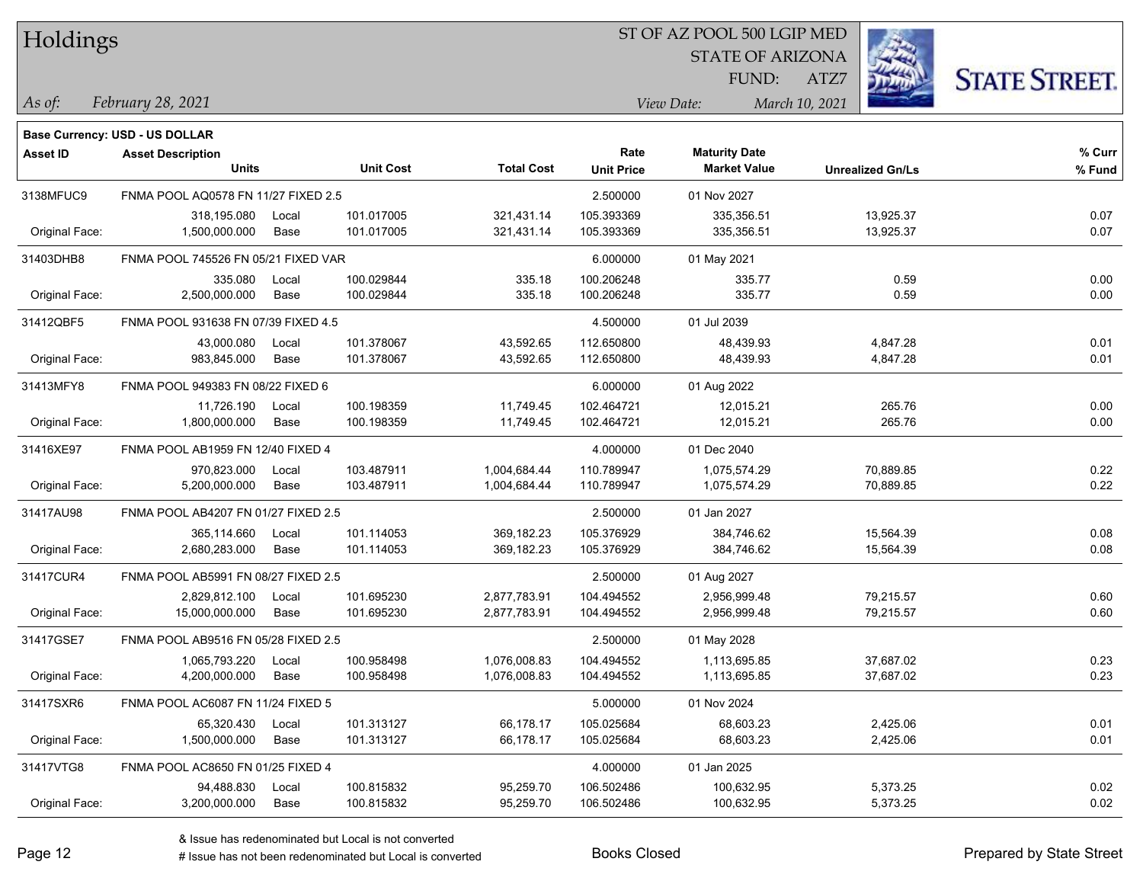|  | Holdings |
|--|----------|
|--|----------|

### ST OF AZ POOL 500 LGIP MED

STATE OF ARIZONA FUND:



*February 28, 2021 As of: View Date: March 10, 2021*

**Base Currency: USD - US DOLLAR**

ATZ7

| <b>Asset ID</b> | <b>Asset Description</b>            |       |                  |                   | Rate              | <b>Maturity Date</b> |                         | % Curr |
|-----------------|-------------------------------------|-------|------------------|-------------------|-------------------|----------------------|-------------------------|--------|
|                 | Units                               |       | <b>Unit Cost</b> | <b>Total Cost</b> | <b>Unit Price</b> | <b>Market Value</b>  | <b>Unrealized Gn/Ls</b> | % Fund |
| 3138MFUC9       | FNMA POOL AQ0578 FN 11/27 FIXED 2.5 |       |                  |                   | 2.500000          | 01 Nov 2027          |                         |        |
|                 | 318,195.080                         | Local | 101.017005       | 321,431.14        | 105.393369        | 335,356.51           | 13,925.37               | 0.07   |
| Original Face:  | 1,500,000.000                       | Base  | 101.017005       | 321,431.14        | 105.393369        | 335,356.51           | 13,925.37               | 0.07   |
| 31403DHB8       | FNMA POOL 745526 FN 05/21 FIXED VAR |       |                  |                   | 6.000000          | 01 May 2021          |                         |        |
|                 | 335.080                             | Local | 100.029844       | 335.18            | 100.206248        | 335.77               | 0.59                    | 0.00   |
| Original Face:  | 2,500,000.000                       | Base  | 100.029844       | 335.18            | 100.206248        | 335.77               | 0.59                    | 0.00   |
| 31412QBF5       | FNMA POOL 931638 FN 07/39 FIXED 4.5 |       |                  |                   | 4.500000          | 01 Jul 2039          |                         |        |
|                 | 43,000.080                          | Local | 101.378067       | 43,592.65         | 112.650800        | 48,439.93            | 4,847.28                | 0.01   |
| Original Face:  | 983,845.000                         | Base  | 101.378067       | 43,592.65         | 112.650800        | 48,439.93            | 4,847.28                | 0.01   |
| 31413MFY8       | FNMA POOL 949383 FN 08/22 FIXED 6   |       |                  |                   | 6.000000          | 01 Aug 2022          |                         |        |
|                 | 11,726.190                          | Local | 100.198359       | 11,749.45         | 102.464721        | 12,015.21            | 265.76                  | 0.00   |
| Original Face:  | 1,800,000.000                       | Base  | 100.198359       | 11,749.45         | 102.464721        | 12,015.21            | 265.76                  | 0.00   |
| 31416XE97       | FNMA POOL AB1959 FN 12/40 FIXED 4   |       |                  |                   | 4.000000          | 01 Dec 2040          |                         |        |
|                 | 970,823.000                         | Local | 103.487911       | 1,004,684.44      | 110.789947        | 1,075,574.29         | 70,889.85               | 0.22   |
| Original Face:  | 5,200,000.000                       | Base  | 103.487911       | 1,004,684.44      | 110.789947        | 1,075,574.29         | 70,889.85               | 0.22   |
| 31417AU98       | FNMA POOL AB4207 FN 01/27 FIXED 2.5 |       |                  |                   | 2.500000          | 01 Jan 2027          |                         |        |
|                 | 365,114.660                         | Local | 101.114053       | 369,182.23        | 105.376929        | 384,746.62           | 15,564.39               | 0.08   |
| Original Face:  | 2,680,283.000                       | Base  | 101.114053       | 369,182.23        | 105.376929        | 384,746.62           | 15,564.39               | 0.08   |
| 31417CUR4       | FNMA POOL AB5991 FN 08/27 FIXED 2.5 |       |                  |                   | 2.500000          | 01 Aug 2027          |                         |        |
|                 | 2,829,812.100                       | Local | 101.695230       | 2,877,783.91      | 104.494552        | 2,956,999.48         | 79,215.57               | 0.60   |
| Original Face:  | 15,000,000.000                      | Base  | 101.695230       | 2,877,783.91      | 104.494552        | 2,956,999.48         | 79,215.57               | 0.60   |
| 31417GSE7       | FNMA POOL AB9516 FN 05/28 FIXED 2.5 |       |                  |                   | 2.500000          | 01 May 2028          |                         |        |
|                 | 1,065,793.220                       | Local | 100.958498       | 1,076,008.83      | 104.494552        | 1,113,695.85         | 37,687.02               | 0.23   |
| Original Face:  | 4,200,000.000                       | Base  | 100.958498       | 1,076,008.83      | 104.494552        | 1,113,695.85         | 37,687.02               | 0.23   |
| 31417SXR6       | FNMA POOL AC6087 FN 11/24 FIXED 5   |       |                  |                   | 5.000000          | 01 Nov 2024          |                         |        |
|                 | 65,320.430                          | Local | 101.313127       | 66,178.17         | 105.025684        | 68,603.23            | 2,425.06                | 0.01   |
| Original Face:  | 1,500,000.000                       | Base  | 101.313127       | 66,178.17         | 105.025684        | 68,603.23            | 2,425.06                | 0.01   |
| 31417VTG8       | FNMA POOL AC8650 FN 01/25 FIXED 4   |       |                  |                   | 4.000000          | 01 Jan 2025          |                         |        |
|                 | 94,488.830                          | Local | 100.815832       | 95,259.70         | 106.502486        | 100,632.95           | 5,373.25                | 0.02   |
| Original Face:  | 3,200,000.000                       | Base  | 100.815832       | 95,259.70         | 106.502486        | 100,632.95           | 5,373.25                | 0.02   |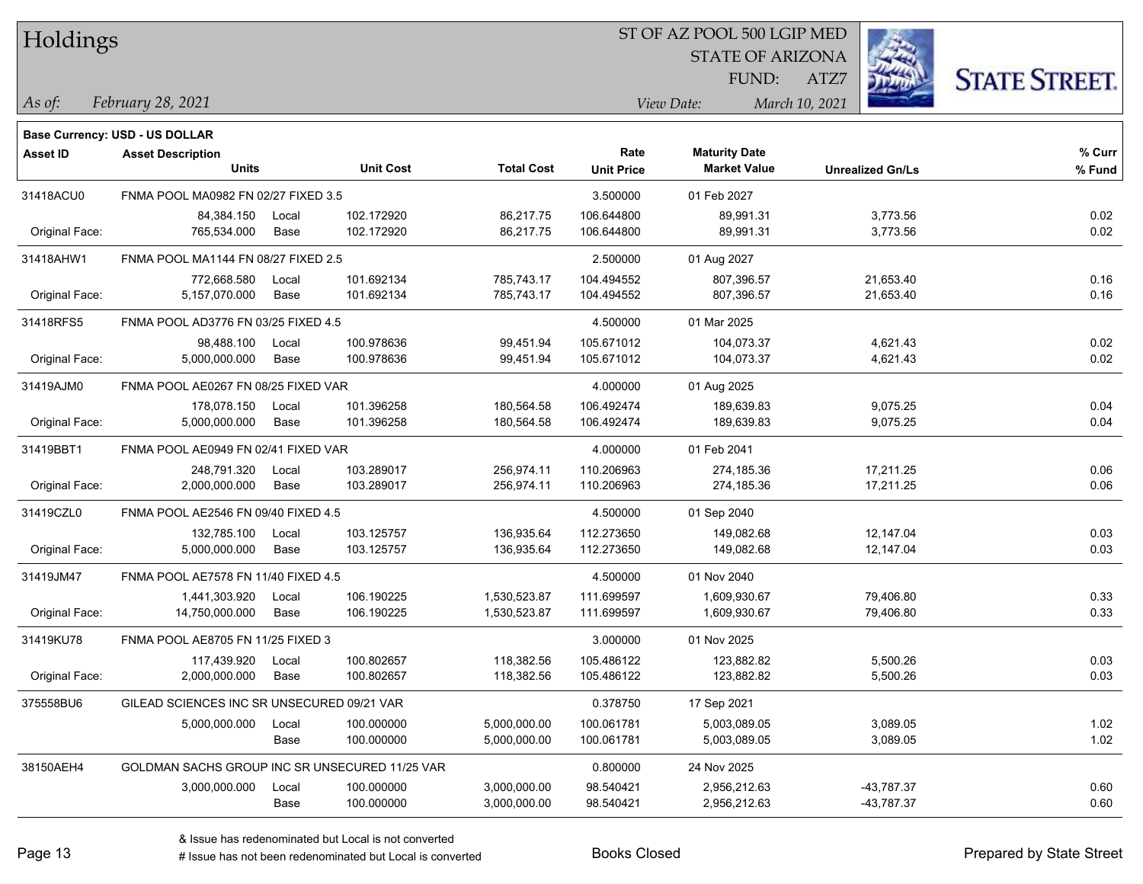| Holdings |
|----------|
|          |

### ST OF AZ POOL 500 LGIP MED

STATE OF ARIZONA

ATZ7



*February 28, 2021 As of: View Date: March 10, 2021*

FUND:

|                 | <b>Base Currency: USD - US DOLLAR</b>          |       |                  |                   |                   |                      |                         |        |
|-----------------|------------------------------------------------|-------|------------------|-------------------|-------------------|----------------------|-------------------------|--------|
| <b>Asset ID</b> | <b>Asset Description</b>                       |       |                  |                   | Rate              | <b>Maturity Date</b> |                         | % Curr |
|                 | <b>Units</b>                                   |       | <b>Unit Cost</b> | <b>Total Cost</b> | <b>Unit Price</b> | <b>Market Value</b>  | <b>Unrealized Gn/Ls</b> | % Fund |
| 31418ACU0       | FNMA POOL MA0982 FN 02/27 FIXED 3.5            |       |                  |                   | 3.500000          | 01 Feb 2027          |                         |        |
|                 | 84,384.150                                     | Local | 102.172920       | 86,217.75         | 106.644800        | 89,991.31            | 3,773.56                | 0.02   |
| Original Face:  | 765,534.000                                    | Base  | 102.172920       | 86,217.75         | 106.644800        | 89,991.31            | 3,773.56                | 0.02   |
| 31418AHW1       | FNMA POOL MA1144 FN 08/27 FIXED 2.5            |       |                  |                   | 2.500000          | 01 Aug 2027          |                         |        |
|                 | 772,668.580                                    | Local | 101.692134       | 785,743.17        | 104.494552        | 807,396.57           | 21,653.40               | 0.16   |
| Original Face:  | 5,157,070.000                                  | Base  | 101.692134       | 785,743.17        | 104.494552        | 807,396.57           | 21,653.40               | 0.16   |
| 31418RFS5       | FNMA POOL AD3776 FN 03/25 FIXED 4.5            |       |                  |                   | 4.500000          | 01 Mar 2025          |                         |        |
|                 | 98,488.100                                     | Local | 100.978636       | 99,451.94         | 105.671012        | 104,073.37           | 4,621.43                | 0.02   |
| Original Face:  | 5,000,000.000                                  | Base  | 100.978636       | 99,451.94         | 105.671012        | 104,073.37           | 4,621.43                | 0.02   |
| 31419AJM0       | FNMA POOL AE0267 FN 08/25 FIXED VAR            |       |                  |                   | 4.000000          | 01 Aug 2025          |                         |        |
|                 | 178,078.150                                    | Local | 101.396258       | 180,564.58        | 106.492474        | 189.639.83           | 9,075.25                | 0.04   |
| Original Face:  | 5,000,000.000                                  | Base  | 101.396258       | 180,564.58        | 106.492474        | 189,639.83           | 9,075.25                | 0.04   |
| 31419BBT1       | FNMA POOL AE0949 FN 02/41 FIXED VAR            |       |                  |                   | 4.000000          | 01 Feb 2041          |                         |        |
|                 | 248,791.320                                    | Local | 103.289017       | 256,974.11        | 110.206963        | 274,185.36           | 17,211.25               | 0.06   |
| Original Face:  | 2,000,000.000                                  | Base  | 103.289017       | 256,974.11        | 110.206963        | 274,185.36           | 17,211.25               | 0.06   |
| 31419CZL0       | FNMA POOL AE2546 FN 09/40 FIXED 4.5            |       |                  |                   | 4.500000          | 01 Sep 2040          |                         |        |
|                 | 132,785.100                                    | Local | 103.125757       | 136,935.64        | 112.273650        | 149,082.68           | 12,147.04               | 0.03   |
| Original Face:  | 5,000,000.000                                  | Base  | 103.125757       | 136,935.64        | 112.273650        | 149,082.68           | 12,147.04               | 0.03   |
| 31419JM47       | FNMA POOL AE7578 FN 11/40 FIXED 4.5            |       |                  |                   | 4.500000          | 01 Nov 2040          |                         |        |
|                 | 1,441,303.920                                  | Local | 106.190225       | 1,530,523.87      | 111.699597        | 1,609,930.67         | 79,406.80               | 0.33   |
| Original Face:  | 14,750,000.000                                 | Base  | 106.190225       | 1,530,523.87      | 111.699597        | 1,609,930.67         | 79,406.80               | 0.33   |
| 31419KU78       | FNMA POOL AE8705 FN 11/25 FIXED 3              |       |                  |                   | 3.000000          | 01 Nov 2025          |                         |        |
|                 | 117,439.920                                    | Local | 100.802657       | 118,382.56        | 105.486122        | 123,882.82           | 5,500.26                | 0.03   |
| Original Face:  | 2,000,000.000                                  | Base  | 100.802657       | 118,382.56        | 105.486122        | 123,882.82           | 5,500.26                | 0.03   |
| 375558BU6       | GILEAD SCIENCES INC SR UNSECURED 09/21 VAR     |       |                  |                   | 0.378750          | 17 Sep 2021          |                         |        |
|                 | 5,000,000.000                                  | Local | 100.000000       | 5,000,000.00      | 100.061781        | 5,003,089.05         | 3,089.05                | 1.02   |
|                 |                                                | Base  | 100.000000       | 5,000,000.00      | 100.061781        | 5,003,089.05         | 3,089.05                | 1.02   |
| 38150AEH4       | GOLDMAN SACHS GROUP INC SR UNSECURED 11/25 VAR |       |                  |                   | 0.800000          | 24 Nov 2025          |                         |        |
|                 | 3,000,000.000                                  | Local | 100.000000       | 3,000,000.00      | 98.540421         | 2,956,212.63         | -43,787.37              | 0.60   |
|                 |                                                | Base  | 100.000000       | 3,000,000.00      | 98.540421         | 2,956,212.63         | -43,787.37              | 0.60   |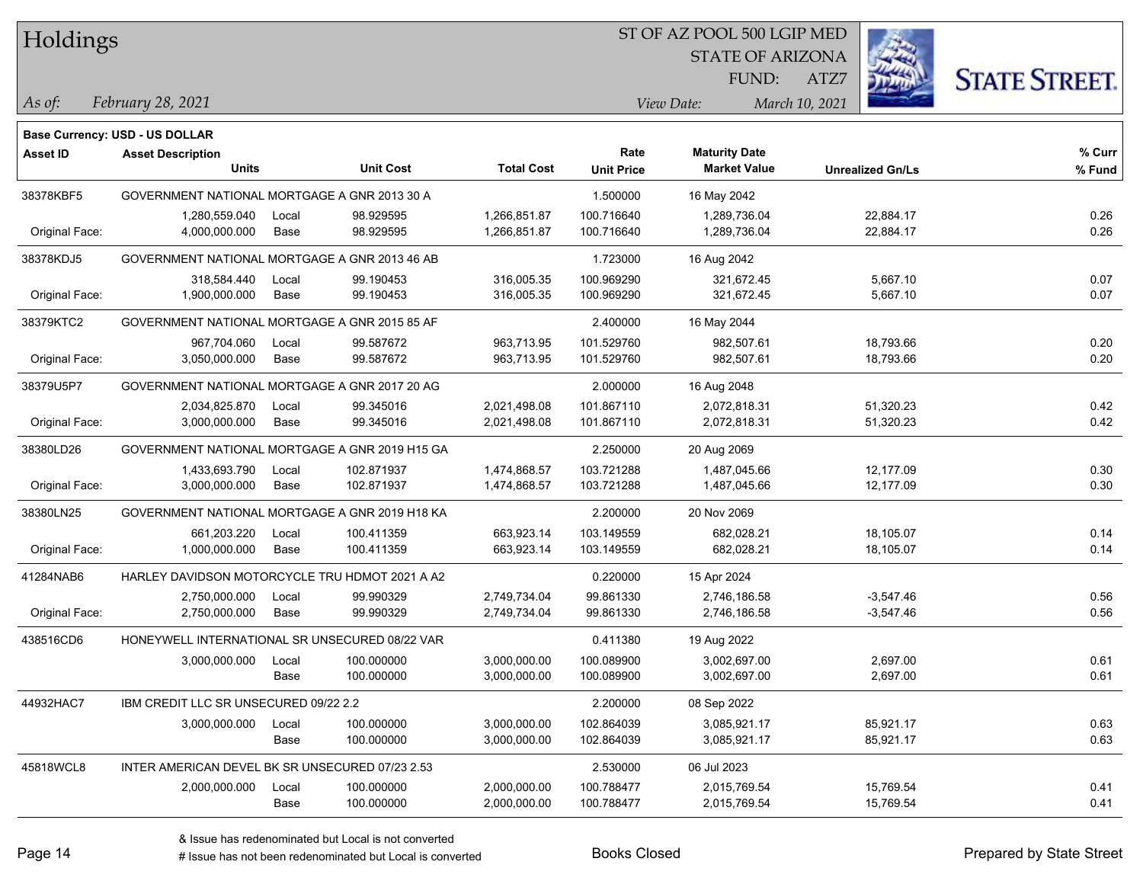Holdings

### ST OF AZ POOL 500 LGIP MED

STATE OF ARIZONA FUND:



*February 28, 2021 As of: View Date: March 10, 2021*

**Base Currency: USD - US DOLLAR**

ATZ7

| <b>Asset ID</b> | <b>Asset Description</b><br><b>Units</b>        |                      | <b>Unit Cost</b>         | <b>Total Cost</b>            | Rate<br><b>Unit Price</b> | <b>Maturity Date</b><br><b>Market Value</b> | <b>Unrealized Gn/Ls</b>    | % Curr<br>% Fund |
|-----------------|-------------------------------------------------|----------------------|--------------------------|------------------------------|---------------------------|---------------------------------------------|----------------------------|------------------|
| 38378KBF5       | GOVERNMENT NATIONAL MORTGAGE A GNR 2013 30 A    |                      |                          |                              | 1.500000                  | 16 May 2042                                 |                            |                  |
| Original Face:  | 1,280,559.040<br>4,000,000.000                  | Local<br><b>Base</b> | 98.929595<br>98.929595   | 1,266,851.87<br>1,266,851.87 | 100.716640<br>100.716640  | 1,289,736.04<br>1,289,736.04                | 22,884.17<br>22,884.17     | 0.26<br>0.26     |
| 38378KDJ5       | GOVERNMENT NATIONAL MORTGAGE A GNR 2013 46 AB   |                      |                          |                              | 1.723000                  | 16 Aug 2042                                 |                            |                  |
| Original Face:  | 318.584.440<br>1,900,000.000                    | Local<br>Base        | 99.190453<br>99.190453   | 316,005.35<br>316,005.35     | 100.969290<br>100.969290  | 321,672.45<br>321,672.45                    | 5,667.10<br>5,667.10       | 0.07<br>0.07     |
| 38379KTC2       | GOVERNMENT NATIONAL MORTGAGE A GNR 2015 85 AF   |                      |                          |                              | 2.400000                  | 16 May 2044                                 |                            |                  |
| Original Face:  | 967,704.060<br>3,050,000.000                    | Local<br>Base        | 99.587672<br>99.587672   | 963,713.95<br>963,713.95     | 101.529760<br>101.529760  | 982,507.61<br>982,507.61                    | 18,793.66<br>18,793.66     | 0.20<br>0.20     |
| 38379U5P7       | GOVERNMENT NATIONAL MORTGAGE A GNR 2017 20 AG   |                      |                          |                              | 2.000000                  | 16 Aug 2048                                 |                            |                  |
| Original Face:  | 2,034,825.870<br>3,000,000.000                  | Local<br>Base        | 99.345016<br>99.345016   | 2,021,498.08<br>2,021,498.08 | 101.867110<br>101.867110  | 2,072,818.31<br>2,072,818.31                | 51,320.23<br>51,320.23     | 0.42<br>0.42     |
| 38380LD26       | GOVERNMENT NATIONAL MORTGAGE A GNR 2019 H15 GA  |                      |                          |                              | 2.250000                  | 20 Aug 2069                                 |                            |                  |
| Original Face:  | 1,433,693.790<br>3,000,000.000                  | Local<br>Base        | 102.871937<br>102.871937 | 1,474,868.57<br>1,474,868.57 | 103.721288<br>103.721288  | 1,487,045.66<br>1,487,045.66                | 12,177.09<br>12,177.09     | 0.30<br>0.30     |
| 38380LN25       | GOVERNMENT NATIONAL MORTGAGE A GNR 2019 H18 KA  |                      |                          |                              | 2.200000                  | 20 Nov 2069                                 |                            |                  |
| Original Face:  | 661,203.220<br>1,000,000.000                    | Local<br><b>Base</b> | 100.411359<br>100.411359 | 663,923.14<br>663,923.14     | 103.149559<br>103.149559  | 682,028.21<br>682,028.21                    | 18,105.07<br>18,105.07     | 0.14<br>0.14     |
| 41284NAB6       | HARLEY DAVIDSON MOTORCYCLE TRU HDMOT 2021 A A2  |                      |                          |                              | 0.220000                  | 15 Apr 2024                                 |                            |                  |
| Original Face:  | 2,750,000.000<br>2,750,000.000                  | Local<br>Base        | 99.990329<br>99.990329   | 2,749,734.04<br>2,749,734.04 | 99.861330<br>99.861330    | 2,746,186.58<br>2,746,186.58                | $-3,547.46$<br>$-3,547.46$ | 0.56<br>0.56     |
| 438516CD6       | HONEYWELL INTERNATIONAL SR UNSECURED 08/22 VAR  |                      |                          |                              | 0.411380                  | 19 Aug 2022                                 |                            |                  |
|                 | 3,000,000.000                                   | Local<br>Base        | 100.000000<br>100.000000 | 3,000,000.00<br>3,000,000.00 | 100.089900<br>100.089900  | 3,002,697.00<br>3,002,697.00                | 2,697.00<br>2,697.00       | 0.61<br>0.61     |
| 44932HAC7       | IBM CREDIT LLC SR UNSECURED 09/22 2.2           |                      |                          |                              | 2.200000                  | 08 Sep 2022                                 |                            |                  |
|                 | 3,000,000.000                                   | Local<br>Base        | 100.000000<br>100.000000 | 3,000,000.00<br>3,000,000.00 | 102.864039<br>102.864039  | 3,085,921.17<br>3,085,921.17                | 85,921.17<br>85,921.17     | 0.63<br>0.63     |
| 45818WCL8       | INTER AMERICAN DEVEL BK SR UNSECURED 07/23 2.53 |                      |                          |                              | 2.530000                  | 06 Jul 2023                                 |                            |                  |
|                 | 2,000,000.000                                   | Local<br>Base        | 100.000000<br>100.000000 | 2,000,000.00<br>2,000,000.00 | 100.788477<br>100.788477  | 2,015,769.54<br>2,015,769.54                | 15,769.54<br>15,769.54     | 0.41<br>0.41     |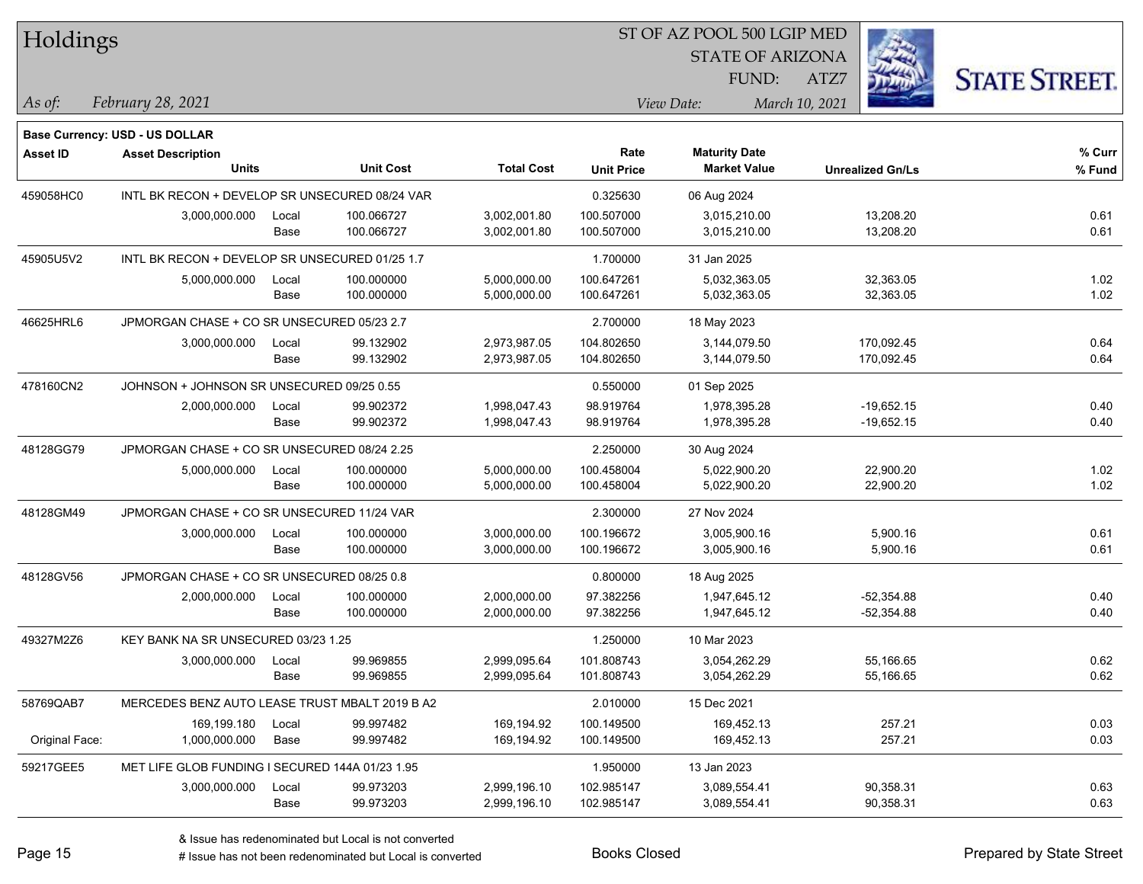| Holdings        |                                                 |       |                  |                   |                   | ST OF AZ POOL 500 LGIP MED |                         |                      |
|-----------------|-------------------------------------------------|-------|------------------|-------------------|-------------------|----------------------------|-------------------------|----------------------|
|                 |                                                 |       |                  |                   |                   | <b>STATE OF ARIZONA</b>    |                         |                      |
|                 |                                                 |       |                  |                   |                   | FUND:                      | ATZ7                    | <b>STATE STREET.</b> |
| As of:          | February 28, 2021                               |       |                  |                   |                   | View Date:                 | March 10, 2021          |                      |
|                 | <b>Base Currency: USD - US DOLLAR</b>           |       |                  |                   |                   |                            |                         |                      |
| <b>Asset ID</b> | <b>Asset Description</b>                        |       |                  |                   | Rate              | <b>Maturity Date</b>       |                         | % Curr               |
|                 | <b>Units</b>                                    |       | <b>Unit Cost</b> | <b>Total Cost</b> | <b>Unit Price</b> | <b>Market Value</b>        | <b>Unrealized Gn/Ls</b> | % Fund               |
| 459058HC0       | INTL BK RECON + DEVELOP SR UNSECURED 08/24 VAR  |       |                  |                   | 0.325630          | 06 Aug 2024                |                         |                      |
|                 | 3,000,000.000                                   | Local | 100.066727       | 3,002,001.80      | 100.507000        | 3,015,210.00               | 13,208.20               | 0.61                 |
|                 |                                                 | Base  | 100.066727       | 3,002,001.80      | 100.507000        | 3,015,210.00               | 13,208.20               | 0.61                 |
| 45905U5V2       | INTL BK RECON + DEVELOP SR UNSECURED 01/25 1.7  |       |                  |                   | 1.700000          | 31 Jan 2025                |                         |                      |
|                 | 5,000,000.000                                   | Local | 100.000000       | 5,000,000.00      | 100.647261        | 5,032,363.05               | 32,363.05               | 1.02                 |
|                 |                                                 | Base  | 100.000000       | 5,000,000.00      | 100.647261        | 5,032,363.05               | 32,363.05               | 1.02                 |
| 46625HRL6       | JPMORGAN CHASE + CO SR UNSECURED 05/23 2.7      |       |                  |                   | 2.700000          | 18 May 2023                |                         |                      |
|                 | 3,000,000.000                                   | Local | 99.132902        | 2,973,987.05      | 104.802650        | 3,144,079.50               | 170,092.45              | 0.64                 |
|                 |                                                 | Base  | 99.132902        | 2,973,987.05      | 104.802650        | 3,144,079.50               | 170,092.45              | 0.64                 |
| 478160CN2       | JOHNSON + JOHNSON SR UNSECURED 09/25 0.55       |       |                  |                   | 0.550000          | 01 Sep 2025                |                         |                      |
|                 | 2,000,000.000                                   | Local | 99.902372        | 1,998,047.43      | 98.919764         | 1,978,395.28               | $-19,652.15$            | 0.40                 |
|                 |                                                 | Base  | 99.902372        | 1,998,047.43      | 98.919764         | 1,978,395.28               | $-19,652.15$            | 0.40                 |
| 48128GG79       | JPMORGAN CHASE + CO SR UNSECURED 08/24 2.25     |       |                  |                   | 2.250000          | 30 Aug 2024                |                         |                      |
|                 | 5,000,000.000                                   | Local | 100.000000       | 5,000,000.00      | 100.458004        | 5,022,900.20               | 22,900.20               | 1.02                 |
|                 |                                                 | Base  | 100.000000       | 5,000,000.00      | 100.458004        | 5,022,900.20               | 22,900.20               | 1.02                 |
| 48128GM49       | JPMORGAN CHASE + CO SR UNSECURED 11/24 VAR      |       |                  |                   | 2.300000          | 27 Nov 2024                |                         |                      |
|                 | 3,000,000.000                                   | Local | 100.000000       | 3,000,000.00      | 100.196672        | 3,005,900.16               | 5,900.16                | 0.61                 |
|                 |                                                 | Base  | 100.000000       | 3,000,000.00      | 100.196672        | 3,005,900.16               | 5,900.16                | 0.61                 |
| 48128GV56       | JPMORGAN CHASE + CO SR UNSECURED 08/25 0.8      |       |                  |                   | 0.800000          | 18 Aug 2025                |                         |                      |
|                 | 2,000,000.000                                   | Local | 100.000000       | 2,000,000.00      | 97.382256         | 1,947,645.12               | $-52,354.88$            | 0.40                 |
|                 |                                                 | Base  | 100.000000       | 2,000,000.00      | 97.382256         | 1,947,645.12               | -52,354.88              | 0.40                 |
| 49327M2Z6       | KEY BANK NA SR UNSECURED 03/23 1.25             |       |                  |                   | 1.250000          | 10 Mar 2023                |                         |                      |
|                 | 3,000,000.000                                   | Local | 99.969855        | 2,999,095.64      | 101.808743        | 3,054,262.29               | 55,166.65               | 0.62                 |
|                 |                                                 | Base  | 99.969855        | 2,999,095.64      | 101.808743        | 3,054,262.29               | 55,166.65               | 0.62                 |
| 58769QAB7       | MERCEDES BENZ AUTO LEASE TRUST MBALT 2019 B A2  |       |                  |                   | 2.010000          | 15 Dec 2021                |                         |                      |
|                 | 169,199.180                                     | Local | 99.997482        | 169,194.92        | 100.149500        | 169,452.13                 | 257.21                  | 0.03                 |
| Original Face:  | 1,000,000.000                                   | Base  | 99.997482        | 169,194.92        | 100.149500        | 169,452.13                 | 257.21                  | 0.03                 |
| 59217GEE5       | MET LIFE GLOB FUNDING I SECURED 144A 01/23 1.95 |       |                  |                   | 1.950000          | 13 Jan 2023                |                         |                      |
|                 | 3,000,000.000                                   | Local | 99.973203        | 2,999,196.10      | 102.985147        | 3,089,554.41               | 90,358.31               | 0.63                 |
|                 |                                                 | Base  | 99.973203        | 2,999,196.10      | 102.985147        | 3,089,554.41               | 90,358.31               | 0.63                 |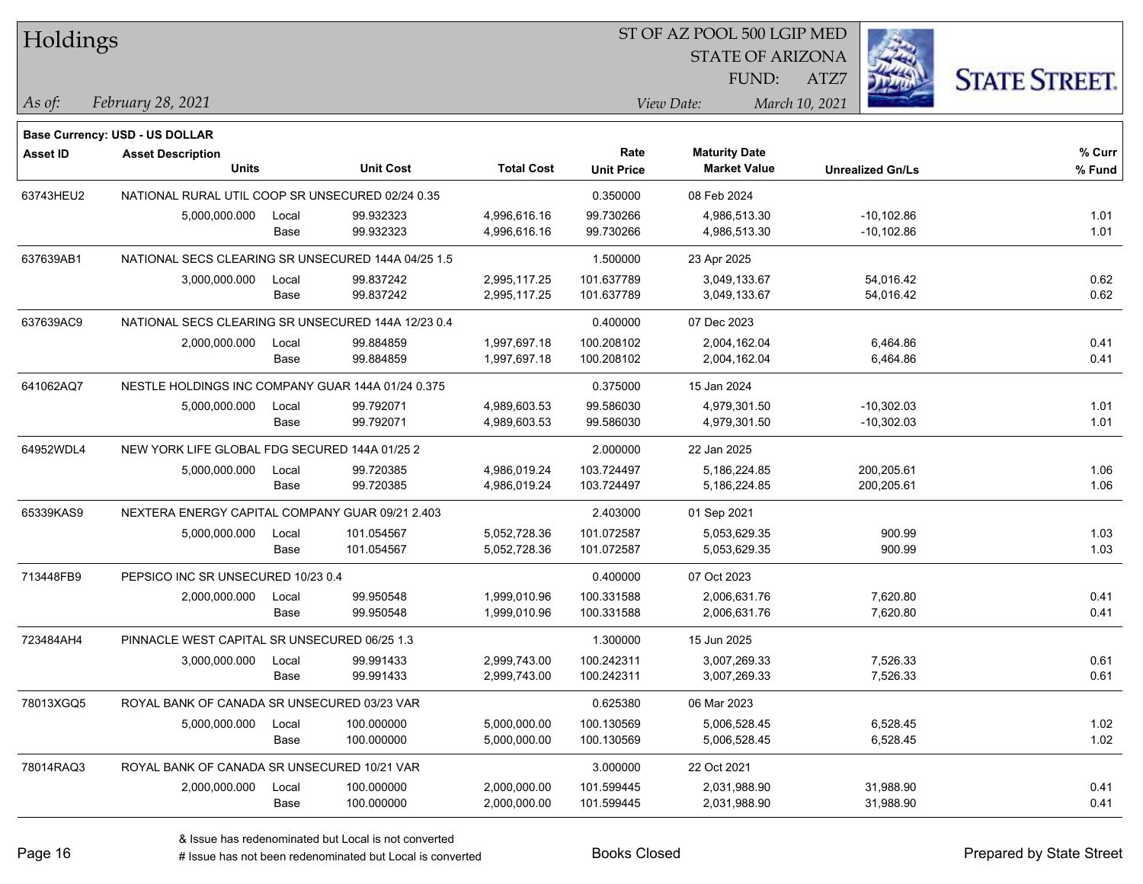| Holdings        |                                                    |       |                  |                   |                   | ST OF AZ POOL 500 LGIP MED |                         |                     |  |
|-----------------|----------------------------------------------------|-------|------------------|-------------------|-------------------|----------------------------|-------------------------|---------------------|--|
|                 |                                                    |       |                  |                   |                   | <b>STATE OF ARIZONA</b>    |                         |                     |  |
|                 |                                                    |       |                  |                   |                   | FUND:                      | ATZ7                    | <b>STATE STREET</b> |  |
| As of:          | February 28, 2021                                  |       |                  |                   |                   | View Date:                 | March 10, 2021          |                     |  |
|                 | <b>Base Currency: USD - US DOLLAR</b>              |       |                  |                   |                   |                            |                         |                     |  |
| <b>Asset ID</b> | <b>Asset Description</b>                           |       |                  |                   | Rate              | <b>Maturity Date</b>       |                         | % Curr              |  |
|                 | <b>Units</b>                                       |       | <b>Unit Cost</b> | <b>Total Cost</b> | <b>Unit Price</b> | <b>Market Value</b>        | <b>Unrealized Gn/Ls</b> | % Fund              |  |
| 63743HEU2       | NATIONAL RURAL UTIL COOP SR UNSECURED 02/24 0.35   |       |                  |                   | 0.350000          | 08 Feb 2024                |                         |                     |  |
|                 | 5,000,000.000                                      | Local | 99.932323        | 4,996,616.16      | 99.730266         | 4,986,513.30               | $-10,102.86$            | 1.01                |  |
|                 |                                                    | Base  | 99.932323        | 4,996,616.16      | 99.730266         | 4,986,513.30               | $-10,102.86$            | 1.01                |  |
| 637639AB1       | NATIONAL SECS CLEARING SR UNSECURED 144A 04/25 1.5 |       |                  |                   | 1.500000          | 23 Apr 2025                |                         |                     |  |
|                 | 3,000,000.000                                      | Local | 99.837242        | 2,995,117.25      | 101.637789        | 3,049,133.67               | 54,016.42               | 0.62                |  |
|                 |                                                    | Base  | 99.837242        | 2,995,117.25      | 101.637789        | 3,049,133.67               | 54,016.42               | 0.62                |  |
| 637639AC9       | NATIONAL SECS CLEARING SR UNSECURED 144A 12/23 0.4 |       |                  |                   | 0.400000          | 07 Dec 2023                |                         |                     |  |
|                 | 2,000,000.000                                      | Local | 99.884859        | 1,997,697.18      | 100.208102        | 2,004,162.04               | 6,464.86                | 0.41                |  |
|                 |                                                    | Base  | 99.884859        | 1,997,697.18      | 100.208102        | 2,004,162.04               | 6,464.86                | 0.41                |  |
| 641062AQ7       | NESTLE HOLDINGS INC COMPANY GUAR 144A 01/24 0.375  |       |                  |                   | 0.375000          | 15 Jan 2024                |                         |                     |  |
|                 | 5,000,000.000                                      | Local | 99.792071        | 4,989,603.53      | 99.586030         | 4,979,301.50               | $-10,302.03$            | 1.01                |  |
|                 |                                                    | Base  | 99.792071        | 4,989,603.53      | 99.586030         | 4,979,301.50               | $-10,302.03$            | 1.01                |  |
| 64952WDL4       | NEW YORK LIFE GLOBAL FDG SECURED 144A 01/25 2      |       |                  |                   | 2.000000          | 22 Jan 2025                |                         |                     |  |
|                 | 5,000,000.000                                      | Local | 99.720385        | 4,986,019.24      | 103.724497        | 5,186,224.85               | 200,205.61              | 1.06                |  |
|                 |                                                    | Base  | 99.720385        | 4,986,019.24      | 103.724497        | 5,186,224.85               | 200,205.61              | 1.06                |  |
| 65339KAS9       | NEXTERA ENERGY CAPITAL COMPANY GUAR 09/21 2.403    |       |                  |                   | 2.403000          | 01 Sep 2021                |                         |                     |  |
|                 | 5,000,000.000                                      | Local | 101.054567       | 5,052,728.36      | 101.072587        | 5,053,629.35               | 900.99                  | 1.03                |  |
|                 |                                                    | Base  | 101.054567       | 5,052,728.36      | 101.072587        | 5,053,629.35               | 900.99                  | 1.03                |  |
| 713448FB9       | PEPSICO INC SR UNSECURED 10/23 0.4                 |       |                  |                   | 0.400000          | 07 Oct 2023                |                         |                     |  |
|                 | 2,000,000.000                                      | Local | 99.950548        | 1,999,010.96      | 100.331588        | 2,006,631.76               | 7,620.80                | 0.41                |  |
|                 |                                                    | Base  | 99.950548        | 1,999,010.96      | 100.331588        | 2,006,631.76               | 7,620.80                | 0.41                |  |
| 723484AH4       | PINNACLE WEST CAPITAL SR UNSECURED 06/25 1.3       |       |                  |                   | 1.300000          | 15 Jun 2025                |                         |                     |  |
|                 | 3,000,000.000                                      | Local | 99.991433        | 2,999,743.00      | 100.242311        | 3,007,269.33               | 7,526.33                | 0.61                |  |
|                 |                                                    | Base  | 99.991433        | 2,999,743.00      | 100.242311        | 3,007,269.33               | 7,526.33                | 0.61                |  |
| 78013XGQ5       | ROYAL BANK OF CANADA SR UNSECURED 03/23 VAR        |       |                  |                   | 0.625380          | 06 Mar 2023                |                         |                     |  |
|                 | 5,000,000.000                                      | Local | 100.000000       | 5,000,000.00      | 100.130569        | 5,006,528.45               | 6,528.45                | 1.02                |  |
|                 |                                                    | Base  | 100.000000       | 5,000,000.00      | 100.130569        | 5,006,528.45               | 6,528.45                | 1.02                |  |
| 78014RAQ3       | ROYAL BANK OF CANADA SR UNSECURED 10/21 VAR        |       |                  |                   | 3.000000          | 22 Oct 2021                |                         |                     |  |
|                 | 2,000,000.000                                      | Local | 100.000000       | 2,000,000.00      | 101.599445        | 2,031,988.90               | 31,988.90               | 0.41                |  |
|                 |                                                    | Base  | 100.000000       | 2,000,000.00      | 101.599445        | 2,031,988.90               | 31,988.90               | 0.41                |  |

 $\overline{\text{SP } \overline{\text{SP } \text{CSP } \text{CSP } \text{CSP } \text{CSP } \text{CSP } \text{CSP } \text{CSP } \text{CSP } \text{CSP } \text{CSP } \text{CSP } \text{CSP } \text{CSP } \text{CSP } \text{CSP } \text{CSP } \text{CSP } \text{CSP } \text{CSP } \text{CSP } \text{CSP } \text{CSP } \text{CSP } \text{CSP } \text{CSP } \text{CSP } \text{CSP } \text{CSP } \text{CSP } \text{CSP } \text{CSP } \text{CSP } \text{CSP } \text{CSP }$ 

٦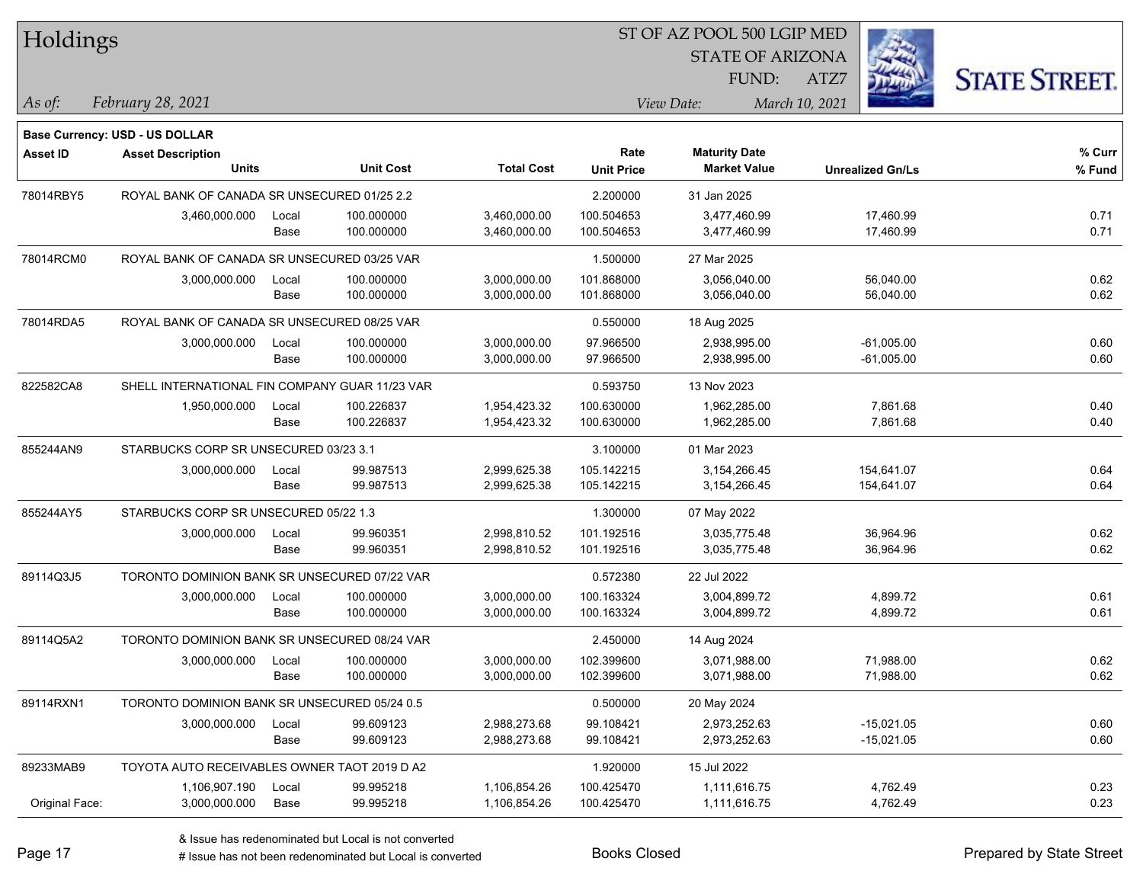| Holdings        |                                                |       |                  | ST OF AZ POOL 500 LGIP MED |                   |                         |                         |                      |  |
|-----------------|------------------------------------------------|-------|------------------|----------------------------|-------------------|-------------------------|-------------------------|----------------------|--|
|                 |                                                |       |                  |                            |                   | <b>STATE OF ARIZONA</b> |                         |                      |  |
|                 |                                                |       |                  |                            |                   | FUND:                   | ATZ7                    | <b>STATE STREET.</b> |  |
| $ As\;of:$      | February 28, 2021                              |       |                  |                            |                   | View Date:              | March 10, 2021          |                      |  |
|                 | Base Currency: USD - US DOLLAR                 |       |                  |                            |                   |                         |                         |                      |  |
| <b>Asset ID</b> | <b>Asset Description</b>                       |       |                  |                            | Rate              | <b>Maturity Date</b>    |                         | % Curr               |  |
|                 | <b>Units</b>                                   |       | <b>Unit Cost</b> | <b>Total Cost</b>          | <b>Unit Price</b> | <b>Market Value</b>     | <b>Unrealized Gn/Ls</b> | % Fund               |  |
| 78014RBY5       | ROYAL BANK OF CANADA SR UNSECURED 01/25 2.2    |       |                  |                            | 2.200000          | 31 Jan 2025             |                         |                      |  |
|                 | 3,460,000.000                                  | Local | 100.000000       | 3,460,000.00               | 100.504653        | 3,477,460.99            | 17,460.99               | 0.71                 |  |
|                 |                                                | Base  | 100.000000       | 3,460,000.00               | 100.504653        | 3,477,460.99            | 17,460.99               | 0.71                 |  |
| 78014RCM0       | ROYAL BANK OF CANADA SR UNSECURED 03/25 VAR    |       |                  |                            | 1.500000          | 27 Mar 2025             |                         |                      |  |
|                 | 3,000,000.000                                  | Local | 100.000000       | 3,000,000.00               | 101.868000        | 3,056,040.00            | 56,040.00               | 0.62                 |  |
|                 |                                                | Base  | 100.000000       | 3,000,000.00               | 101.868000        | 3,056,040.00            | 56,040.00               | 0.62                 |  |
| 78014RDA5       | ROYAL BANK OF CANADA SR UNSECURED 08/25 VAR    |       |                  |                            | 0.550000          | 18 Aug 2025             |                         |                      |  |
|                 | 3,000,000.000                                  | Local | 100.000000       | 3,000,000.00               | 97.966500         | 2,938,995.00            | $-61,005.00$            | 0.60                 |  |
|                 |                                                | Base  | 100.000000       | 3,000,000.00               | 97.966500         | 2,938,995.00            | $-61,005.00$            | 0.60                 |  |
| 822582CA8       | SHELL INTERNATIONAL FIN COMPANY GUAR 11/23 VAR |       |                  |                            | 0.593750          | 13 Nov 2023             |                         |                      |  |
|                 | 1,950,000.000                                  | Local | 100.226837       | 1,954,423.32               | 100.630000        | 1,962,285.00            | 7,861.68                | 0.40                 |  |
|                 |                                                | Base  | 100.226837       | 1,954,423.32               | 100.630000        | 1,962,285.00            | 7,861.68                | 0.40                 |  |
| 855244AN9       | STARBUCKS CORP SR UNSECURED 03/23 3.1          |       |                  |                            | 3.100000          | 01 Mar 2023             |                         |                      |  |
|                 | 3,000,000.000                                  | Local | 99.987513        | 2,999,625.38               | 105.142215        | 3,154,266.45            | 154,641.07              | 0.64                 |  |
|                 |                                                | Base  | 99.987513        | 2,999,625.38               | 105.142215        | 3,154,266.45            | 154,641.07              | 0.64                 |  |
| 855244AY5       | STARBUCKS CORP SR UNSECURED 05/22 1.3          |       |                  |                            | 1.300000          | 07 May 2022             |                         |                      |  |
|                 | 3,000,000.000                                  | Local | 99.960351        | 2,998,810.52               | 101.192516        | 3,035,775.48            | 36,964.96               | 0.62                 |  |
|                 |                                                | Base  | 99.960351        | 2,998,810.52               | 101.192516        | 3,035,775.48            | 36,964.96               | 0.62                 |  |
| 89114Q3J5       | TORONTO DOMINION BANK SR UNSECURED 07/22 VAR   |       |                  |                            | 0.572380          | 22 Jul 2022             |                         |                      |  |
|                 | 3,000,000.000                                  | Local | 100.000000       | 3,000,000.00               | 100.163324        | 3,004,899.72            | 4,899.72                | 0.61                 |  |
|                 |                                                | Base  | 100.000000       | 3,000,000.00               | 100.163324        | 3,004,899.72            | 4,899.72                | 0.61                 |  |
| 89114Q5A2       | TORONTO DOMINION BANK SR UNSECURED 08/24 VAR   |       |                  |                            | 2.450000          | 14 Aug 2024             |                         |                      |  |
|                 | 3,000,000.000                                  | Local | 100.000000       | 3,000,000.00               | 102.399600        | 3,071,988.00            | 71,988.00               | 0.62                 |  |
|                 |                                                | Base  | 100.000000       | 3,000,000.00               | 102.399600        | 3,071,988.00            | 71,988.00               | 0.62                 |  |
| 89114RXN1       | TORONTO DOMINION BANK SR UNSECURED 05/24 0.5   |       |                  |                            | 0.500000          | 20 May 2024             |                         |                      |  |
|                 | 3,000,000.000                                  | Local | 99.609123        | 2,988,273.68               | 99.108421         | 2,973,252.63            | $-15,021.05$            | 0.60                 |  |
|                 |                                                | Base  | 99.609123        | 2,988,273.68               | 99.108421         | 2,973,252.63            | $-15,021.05$            | 0.60                 |  |
| 89233MAB9       | TOYOTA AUTO RECEIVABLES OWNER TAOT 2019 D A2   |       |                  |                            | 1.920000          | 15 Jul 2022             |                         |                      |  |
|                 | 1,106,907.190                                  | Local | 99.995218        | 1,106,854.26               | 100.425470        | 1,111,616.75            | 4,762.49                | 0.23                 |  |
| Original Face:  | 3,000,000.000                                  | Base  | 99.995218        | 1,106,854.26               | 100.425470        | 1,111,616.75            | 4,762.49                | 0.23                 |  |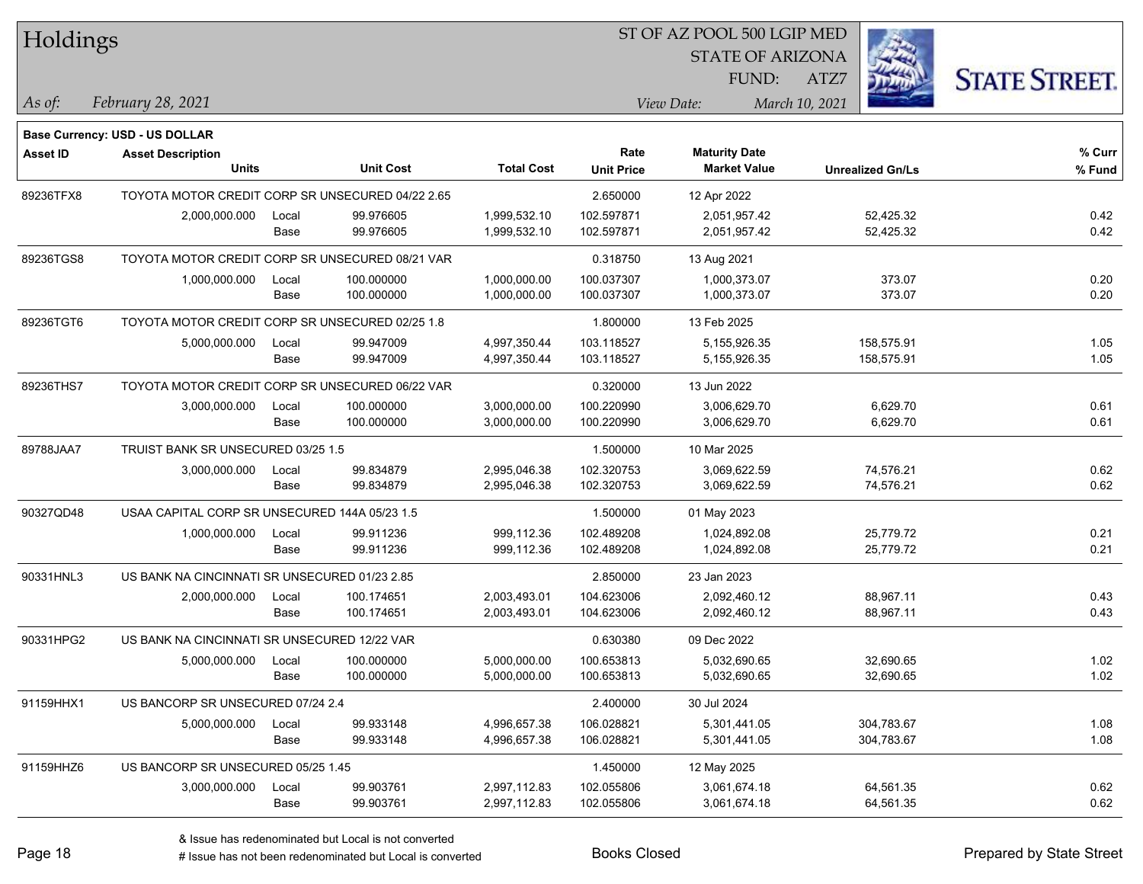| Holdings        |                                                  |       |                  |                   |                   | ST OF AZ POOL 500 LGIP MED |                         |            |                      |  |
|-----------------|--------------------------------------------------|-------|------------------|-------------------|-------------------|----------------------------|-------------------------|------------|----------------------|--|
|                 |                                                  |       |                  |                   |                   | <b>STATE OF ARIZONA</b>    |                         |            |                      |  |
|                 |                                                  |       |                  |                   |                   | FUND:                      | ATZ7                    |            | <b>STATE STREET.</b> |  |
| As of:          | February 28, 2021                                |       |                  |                   |                   | View Date:                 | March 10, 2021          |            |                      |  |
|                 | <b>Base Currency: USD - US DOLLAR</b>            |       |                  |                   |                   |                            |                         |            |                      |  |
| <b>Asset ID</b> | <b>Asset Description</b>                         |       |                  |                   | Rate              | <b>Maturity Date</b>       |                         |            | % Curr               |  |
|                 | <b>Units</b>                                     |       | <b>Unit Cost</b> | <b>Total Cost</b> | <b>Unit Price</b> | <b>Market Value</b>        | <b>Unrealized Gn/Ls</b> |            | % Fund               |  |
| 89236TFX8       | TOYOTA MOTOR CREDIT CORP SR UNSECURED 04/22 2.65 |       |                  |                   | 2.650000          | 12 Apr 2022                |                         |            |                      |  |
|                 | 2,000,000.000                                    | Local | 99.976605        | 1,999,532.10      | 102.597871        | 2,051,957.42               |                         | 52,425.32  | 0.42                 |  |
|                 |                                                  | Base  | 99.976605        | 1,999,532.10      | 102.597871        | 2,051,957.42               |                         | 52,425.32  | 0.42                 |  |
| 89236TGS8       | TOYOTA MOTOR CREDIT CORP SR UNSECURED 08/21 VAR  |       |                  |                   | 0.318750          | 13 Aug 2021                |                         |            |                      |  |
|                 | 1,000,000.000                                    | Local | 100.000000       | 1,000,000.00      | 100.037307        | 1,000,373.07               |                         | 373.07     | 0.20                 |  |
|                 |                                                  | Base  | 100.000000       | 1,000,000.00      | 100.037307        | 1,000,373.07               |                         | 373.07     | 0.20                 |  |
| 89236TGT6       | TOYOTA MOTOR CREDIT CORP SR UNSECURED 02/25 1.8  |       |                  |                   | 1.800000          | 13 Feb 2025                |                         |            |                      |  |
|                 | 5,000,000.000                                    | Local | 99.947009        | 4,997,350.44      | 103.118527        | 5,155,926.35               |                         | 158,575.91 | 1.05                 |  |
|                 |                                                  | Base  | 99.947009        | 4,997,350.44      | 103.118527        | 5,155,926.35               |                         | 158,575.91 | 1.05                 |  |
| 89236THS7       | TOYOTA MOTOR CREDIT CORP SR UNSECURED 06/22 VAR  |       |                  |                   | 0.320000          | 13 Jun 2022                |                         |            |                      |  |
|                 | 3,000,000.000                                    | Local | 100.000000       | 3,000,000.00      | 100.220990        | 3,006,629.70               |                         | 6,629.70   | 0.61                 |  |
|                 |                                                  | Base  | 100.000000       | 3,000,000.00      | 100.220990        | 3,006,629.70               |                         | 6,629.70   | 0.61                 |  |
| 89788JAA7       | TRUIST BANK SR UNSECURED 03/25 1.5               |       |                  |                   | 1.500000          | 10 Mar 2025                |                         |            |                      |  |
|                 | 3,000,000.000                                    | Local | 99.834879        | 2,995,046.38      | 102.320753        | 3,069,622.59               |                         | 74,576.21  | 0.62                 |  |
|                 |                                                  | Base  | 99.834879        | 2,995,046.38      | 102.320753        | 3,069,622.59               |                         | 74,576.21  | 0.62                 |  |
| 90327QD48       | USAA CAPITAL CORP SR UNSECURED 144A 05/23 1.5    |       |                  |                   | 1.500000          | 01 May 2023                |                         |            |                      |  |
|                 | 1,000,000.000                                    | Local | 99.911236        | 999,112.36        | 102.489208        | 1,024,892.08               |                         | 25,779.72  | 0.21                 |  |
|                 |                                                  | Base  | 99.911236        | 999,112.36        | 102.489208        | 1,024,892.08               |                         | 25,779.72  | 0.21                 |  |
| 90331HNL3       | US BANK NA CINCINNATI SR UNSECURED 01/23 2.85    |       |                  |                   | 2.850000          | 23 Jan 2023                |                         |            |                      |  |
|                 | 2,000,000.000                                    | Local | 100.174651       | 2,003,493.01      | 104.623006        | 2,092,460.12               |                         | 88,967.11  | 0.43                 |  |
|                 |                                                  | Base  | 100.174651       | 2,003,493.01      | 104.623006        | 2,092,460.12               |                         | 88,967.11  | 0.43                 |  |
| 90331HPG2       | US BANK NA CINCINNATI SR UNSECURED 12/22 VAR     |       |                  |                   | 0.630380          | 09 Dec 2022                |                         |            |                      |  |
|                 | 5,000,000.000                                    | Local | 100.000000       | 5,000,000.00      | 100.653813        | 5,032,690.65               |                         | 32,690.65  | 1.02                 |  |
|                 |                                                  | Base  | 100.000000       | 5,000,000.00      | 100.653813        | 5,032,690.65               |                         | 32,690.65  | 1.02                 |  |
| 91159HHX1       | US BANCORP SR UNSECURED 07/24 2.4                |       |                  |                   | 2.400000          | 30 Jul 2024                |                         |            |                      |  |
|                 | 5,000,000.000                                    | Local | 99.933148        | 4,996,657.38      | 106.028821        | 5,301,441.05               |                         | 304,783.67 | 1.08                 |  |
|                 |                                                  | Base  | 99.933148        | 4,996,657.38      | 106.028821        | 5,301,441.05               |                         | 304,783.67 | 1.08                 |  |
| 91159HHZ6       | US BANCORP SR UNSECURED 05/25 1.45               |       |                  |                   | 1.450000          | 12 May 2025                |                         |            |                      |  |
|                 | 3,000,000.000                                    | Local | 99.903761        | 2,997,112.83      | 102.055806        | 3,061,674.18               |                         | 64,561.35  | 0.62                 |  |
|                 |                                                  | Base  | 99.903761        | 2,997,112.83      | 102.055806        | 3,061,674.18               |                         | 64,561.35  | 0.62                 |  |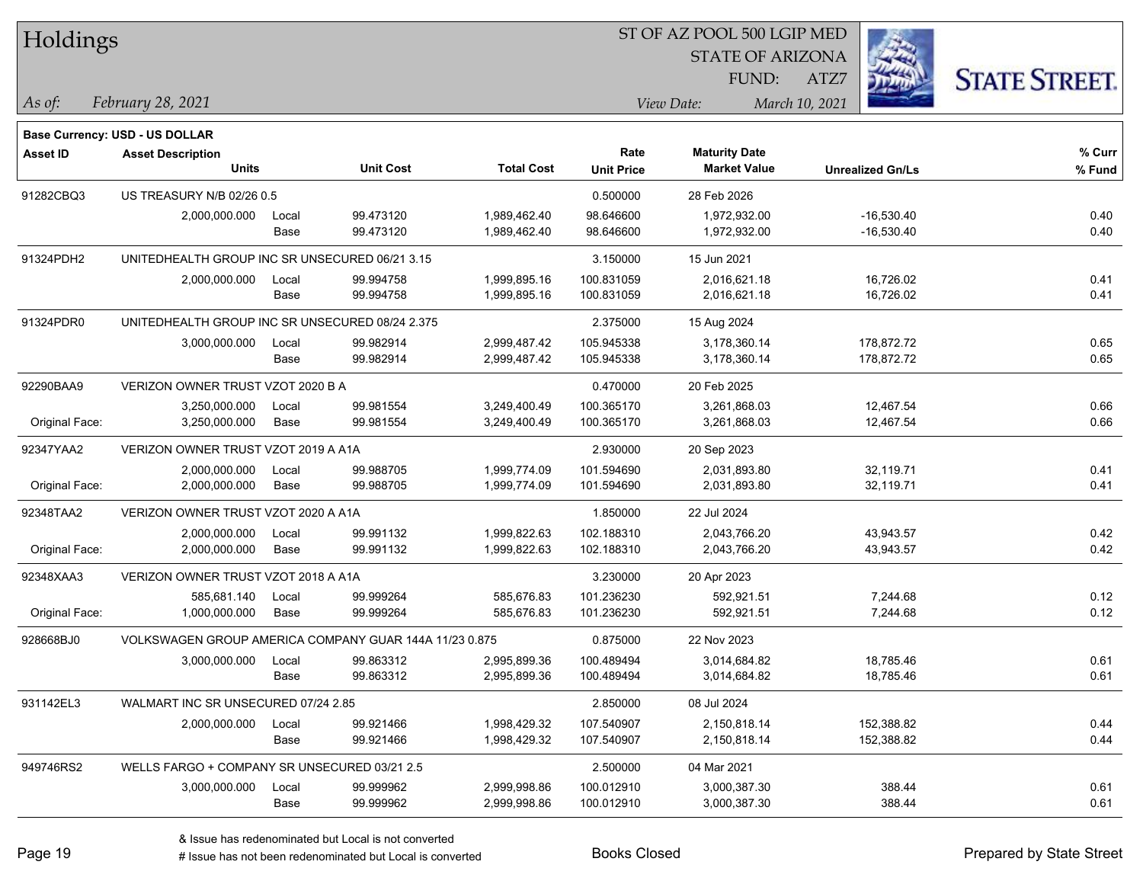| Holdings        |                                                        |       |                  |                   |                   | ST OF AZ POOL 500 LGIP MED |                         |                      |
|-----------------|--------------------------------------------------------|-------|------------------|-------------------|-------------------|----------------------------|-------------------------|----------------------|
|                 |                                                        |       |                  |                   |                   | <b>STATE OF ARIZONA</b>    |                         |                      |
|                 |                                                        |       |                  |                   |                   | FUND:                      | ATZ7                    | <b>STATE STREET.</b> |
| As of:          | February 28, 2021                                      |       |                  |                   |                   | View Date:                 | March 10, 2021          |                      |
|                 | Base Currency: USD - US DOLLAR                         |       |                  |                   |                   |                            |                         |                      |
| <b>Asset ID</b> | <b>Asset Description</b>                               |       |                  |                   | Rate              | <b>Maturity Date</b>       |                         | % Curr               |
|                 | Units                                                  |       | <b>Unit Cost</b> | <b>Total Cost</b> | <b>Unit Price</b> | <b>Market Value</b>        | <b>Unrealized Gn/Ls</b> | % Fund               |
| 91282CBQ3       | US TREASURY N/B 02/26 0.5                              |       |                  |                   | 0.500000          | 28 Feb 2026                |                         |                      |
|                 | 2,000,000.000                                          | Local | 99.473120        | 1,989,462.40      | 98.646600         | 1,972,932.00               | $-16,530.40$            | 0.40                 |
|                 |                                                        | Base  | 99.473120        | 1,989,462.40      | 98.646600         | 1,972,932.00               | $-16,530.40$            | 0.40                 |
| 91324PDH2       | UNITEDHEALTH GROUP INC SR UNSECURED 06/21 3.15         |       |                  |                   | 3.150000          | 15 Jun 2021                |                         |                      |
|                 | 2,000,000.000                                          | Local | 99.994758        | 1,999,895.16      | 100.831059        | 2,016,621.18               | 16,726.02               | 0.41                 |
|                 |                                                        | Base  | 99.994758        | 1,999,895.16      | 100.831059        | 2,016,621.18               | 16,726.02               | 0.41                 |
| 91324PDR0       | UNITEDHEALTH GROUP INC SR UNSECURED 08/24 2.375        |       |                  |                   | 2.375000          | 15 Aug 2024                |                         |                      |
|                 | 3,000,000.000                                          | Local | 99.982914        | 2,999,487.42      | 105.945338        | 3,178,360.14               | 178,872.72              | 0.65                 |
|                 |                                                        | Base  | 99.982914        | 2,999,487.42      | 105.945338        | 3,178,360.14               | 178,872.72              | 0.65                 |
| 92290BAA9       | VERIZON OWNER TRUST VZOT 2020 B A                      |       |                  |                   | 0.470000          | 20 Feb 2025                |                         |                      |
|                 | 3,250,000.000                                          | Local | 99.981554        | 3,249,400.49      | 100.365170        | 3,261,868.03               | 12,467.54               | 0.66                 |
| Original Face:  | 3,250,000.000                                          | Base  | 99.981554        | 3,249,400.49      | 100.365170        | 3,261,868.03               | 12,467.54               | 0.66                 |
| 92347YAA2       | VERIZON OWNER TRUST VZOT 2019 A A1A                    |       |                  |                   | 2.930000          | 20 Sep 2023                |                         |                      |
|                 | 2,000,000.000                                          | Local | 99.988705        | 1,999,774.09      | 101.594690        | 2,031,893.80               | 32,119.71               | 0.41                 |
| Original Face:  | 2,000,000.000                                          | Base  | 99.988705        | 1,999,774.09      | 101.594690        | 2,031,893.80               | 32,119.71               | 0.41                 |
| 92348TAA2       | VERIZON OWNER TRUST VZOT 2020 A A1A                    |       |                  |                   | 1.850000          | 22 Jul 2024                |                         |                      |
|                 | 2,000,000.000                                          | Local | 99.991132        | 1,999,822.63      | 102.188310        | 2,043,766.20               | 43,943.57               | 0.42                 |
| Original Face:  | 2,000,000.000                                          | Base  | 99.991132        | 1,999,822.63      | 102.188310        | 2,043,766.20               | 43,943.57               | 0.42                 |
| 92348XAA3       | VERIZON OWNER TRUST VZOT 2018 A A1A                    |       |                  |                   | 3.230000          | 20 Apr 2023                |                         |                      |
|                 | 585,681.140                                            | Local | 99.999264        | 585,676.83        | 101.236230        | 592,921.51                 | 7,244.68                | 0.12                 |
| Original Face:  | 1,000,000.000                                          | Base  | 99.999264        | 585,676.83        | 101.236230        | 592,921.51                 | 7,244.68                | 0.12                 |
| 928668BJ0       | VOLKSWAGEN GROUP AMERICA COMPANY GUAR 144A 11/23 0.875 |       |                  |                   | 0.875000          | 22 Nov 2023                |                         |                      |
|                 | 3,000,000.000                                          | Local | 99.863312        | 2,995,899.36      | 100.489494        | 3,014,684.82               | 18,785.46               | 0.61                 |
|                 |                                                        | Base  | 99.863312        | 2,995,899.36      | 100.489494        | 3,014,684.82               | 18,785.46               | 0.61                 |
| 931142EL3       | WALMART INC SR UNSECURED 07/24 2.85                    |       |                  |                   | 2.850000          | 08 Jul 2024                |                         |                      |
|                 | 2,000,000.000                                          | Local | 99.921466        | 1,998,429.32      | 107.540907        | 2,150,818.14               | 152,388.82              | 0.44                 |
|                 |                                                        | Base  | 99.921466        | 1,998,429.32      | 107.540907        | 2,150,818.14               | 152,388.82              | 0.44                 |
| 949746RS2       | WELLS FARGO + COMPANY SR UNSECURED 03/21 2.5           |       |                  |                   | 2.500000          | 04 Mar 2021                |                         |                      |
|                 | 3,000,000.000                                          | Local | 99.999962        | 2,999,998.86      | 100.012910        | 3,000,387.30               | 388.44                  | 0.61                 |
|                 |                                                        | Base  | 99.999962        | 2,999,998.86      | 100.012910        | 3,000,387.30               | 388.44                  | 0.61                 |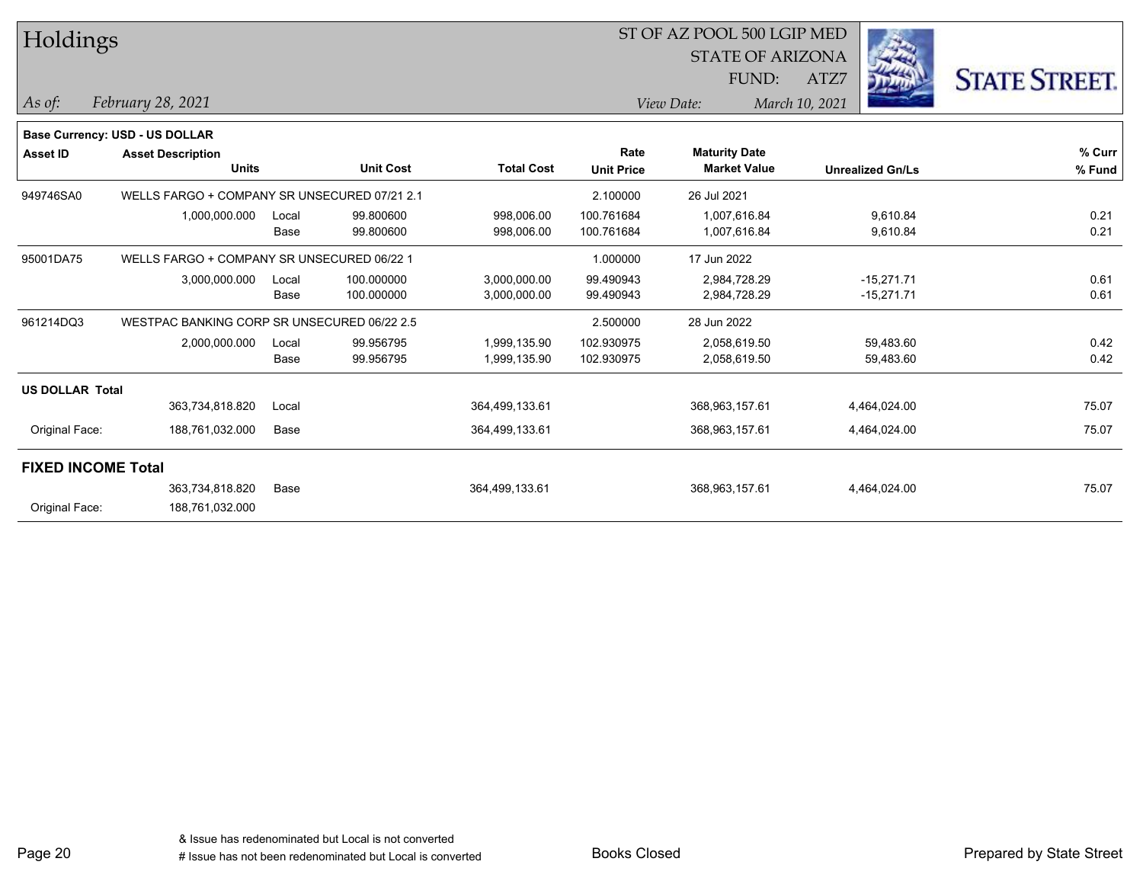| Holdings                  |                                              |       |                  |                   |                   | ST OF AZ POOL 500 LGIP MED |                         |                      |  |
|---------------------------|----------------------------------------------|-------|------------------|-------------------|-------------------|----------------------------|-------------------------|----------------------|--|
|                           |                                              |       |                  |                   |                   | <b>STATE OF ARIZONA</b>    |                         |                      |  |
|                           |                                              |       |                  |                   |                   | FUND:                      | ATZ7                    | <b>STATE STREET.</b> |  |
| As of:                    | February 28, 2021                            |       |                  |                   |                   | View Date:                 | March 10, 2021          |                      |  |
|                           | Base Currency: USD - US DOLLAR               |       |                  |                   |                   |                            |                         |                      |  |
| <b>Asset ID</b>           | <b>Asset Description</b>                     |       |                  |                   | Rate              | <b>Maturity Date</b>       |                         | % Curr               |  |
|                           | <b>Units</b>                                 |       | <b>Unit Cost</b> | <b>Total Cost</b> | <b>Unit Price</b> | <b>Market Value</b>        | <b>Unrealized Gn/Ls</b> | % Fund               |  |
| 949746SA0                 | WELLS FARGO + COMPANY SR UNSECURED 07/21 2.1 |       |                  |                   | 2.100000          | 26 Jul 2021                |                         |                      |  |
|                           | 1,000,000.000                                | Local | 99.800600        | 998,006.00        | 100.761684        | 1,007,616.84               | 9,610.84                | 0.21                 |  |
|                           |                                              | Base  | 99.800600        | 998,006.00        | 100.761684        | 1,007,616.84               | 9,610.84                | 0.21                 |  |
| 95001DA75                 | WELLS FARGO + COMPANY SR UNSECURED 06/22 1   |       |                  |                   | 1.000000          | 17 Jun 2022                |                         |                      |  |
|                           | 3,000,000.000                                | Local | 100.000000       | 3,000,000.00      | 99.490943         | 2,984,728.29               | $-15,271.71$            | 0.61                 |  |
|                           |                                              | Base  | 100.000000       | 3,000,000.00      | 99.490943         | 2,984,728.29               | $-15,271.71$            | 0.61                 |  |
| 961214DQ3                 | WESTPAC BANKING CORP SR UNSECURED 06/22 2.5  |       |                  |                   | 2.500000          | 28 Jun 2022                |                         |                      |  |
|                           | 2,000,000.000                                | Local | 99.956795        | 1,999,135.90      | 102.930975        | 2,058,619.50               | 59,483.60               | 0.42                 |  |
|                           |                                              | Base  | 99.956795        | 1,999,135.90      | 102.930975        | 2,058,619.50               | 59,483.60               | 0.42                 |  |
| <b>US DOLLAR Total</b>    |                                              |       |                  |                   |                   |                            |                         |                      |  |
|                           | 363,734,818.820                              | Local |                  | 364,499,133.61    |                   | 368,963,157.61             | 4,464,024.00            | 75.07                |  |
| Original Face:            | 188,761,032.000                              | Base  |                  | 364,499,133.61    |                   | 368,963,157.61             | 4,464,024.00            | 75.07                |  |
| <b>FIXED INCOME Total</b> |                                              |       |                  |                   |                   |                            |                         |                      |  |
|                           | 363,734,818.820                              | Base  |                  | 364,499,133.61    |                   | 368,963,157.61             | 4,464,024.00            | 75.07                |  |
| Original Face:            | 188,761,032.000                              |       |                  |                   |                   |                            |                         |                      |  |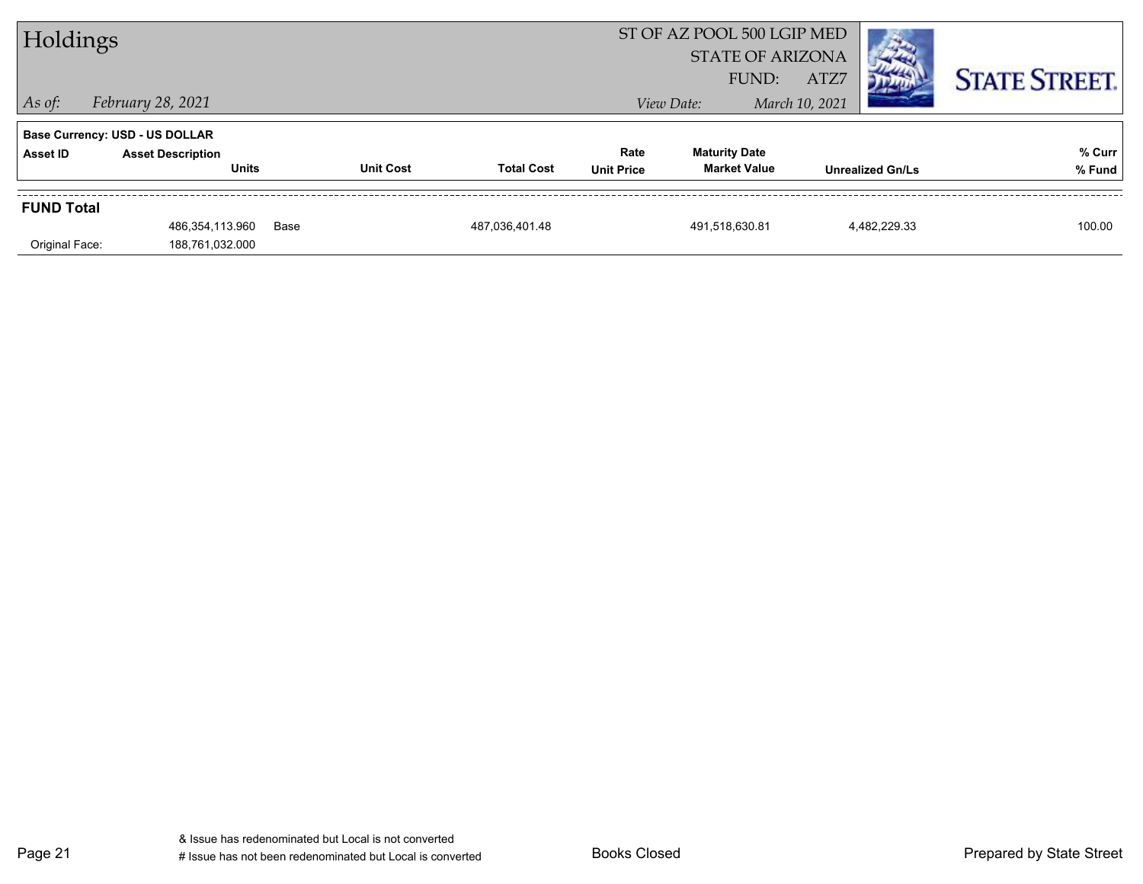| Holdings          |                                          |      |                  | ST OF AZ POOL 500 LGIP MED<br><b>STATE OF ARIZONA</b> |                           |                                             |                        |                         |                      |
|-------------------|------------------------------------------|------|------------------|-------------------------------------------------------|---------------------------|---------------------------------------------|------------------------|-------------------------|----------------------|
| $\vert$ As of:    | <i>February 28, 2021</i>                 |      |                  |                                                       |                           | FUND:<br>View Date:                         | ATZ7<br>March 10, 2021 |                         | <b>STATE STREET.</b> |
|                   | <b>Base Currency: USD - US DOLLAR</b>    |      |                  |                                                       |                           |                                             |                        |                         |                      |
| Asset ID          | <b>Asset Description</b><br><b>Units</b> |      | <b>Unit Cost</b> | <b>Total Cost</b>                                     | Rate<br><b>Unit Price</b> | <b>Maturity Date</b><br><b>Market Value</b> |                        | <b>Unrealized Gn/Ls</b> | % Curr<br>% Fund     |
| <b>FUND Total</b> |                                          |      |                  |                                                       |                           |                                             |                        |                         |                      |
| Original Face:    | 486,354,113.960<br>188,761,032.000       | Base |                  | 487,036,401.48                                        |                           | 491,518,630.81                              |                        | 4.482.229.33            | 100.00               |
|                   |                                          |      |                  |                                                       |                           |                                             |                        |                         |                      |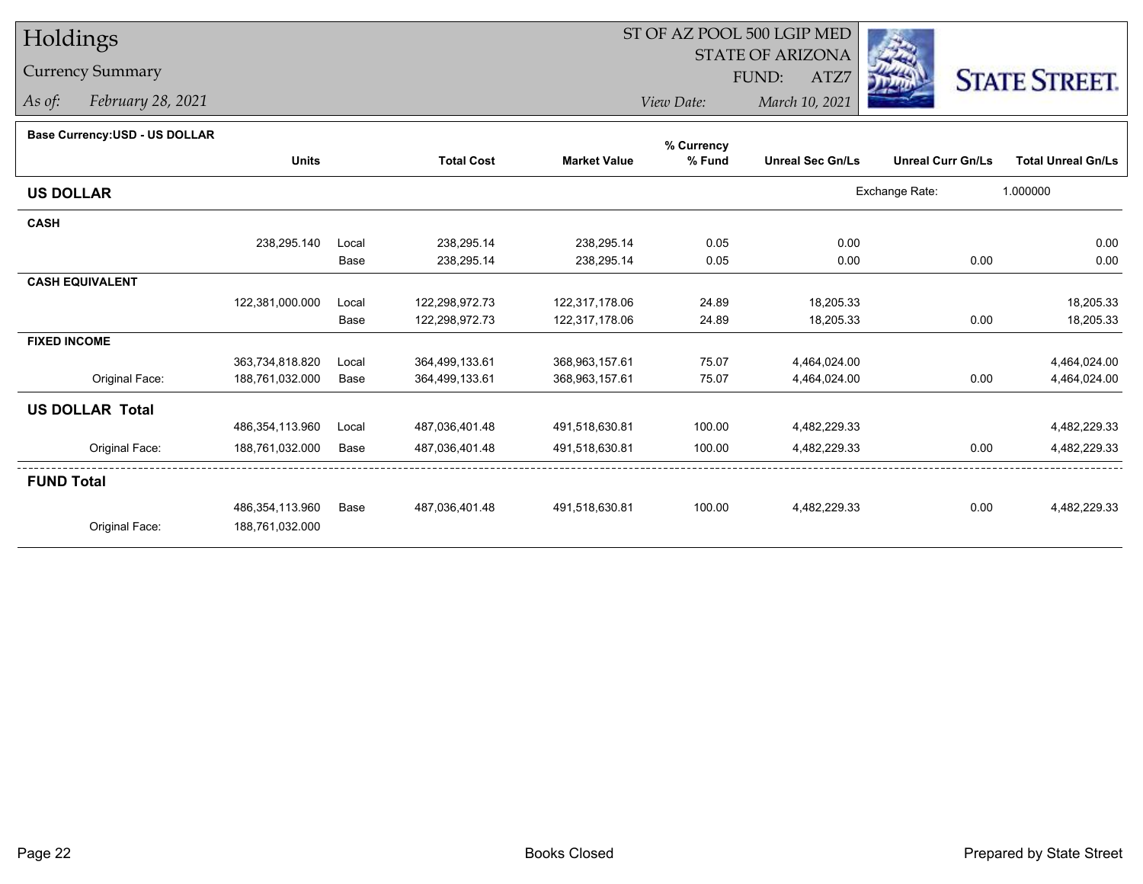# Holdings

### Currency Summary

*As of: February 28, 2021*

## ST OF AZ POOL 500 LGIP MED

 STATE OF ARIZONAFUND:

ATZ7



*View Date:March 10, 2021*

#### **Base Currency:USD - US DOLLAR**

|                        |                 |       |                   |                     | % Currency |                         |                          |                           |  |  |
|------------------------|-----------------|-------|-------------------|---------------------|------------|-------------------------|--------------------------|---------------------------|--|--|
|                        | <b>Units</b>    |       | <b>Total Cost</b> | <b>Market Value</b> | % Fund     | <b>Unreal Sec Gn/Ls</b> | <b>Unreal Curr Gn/Ls</b> | <b>Total Unreal Gn/Ls</b> |  |  |
| <b>US DOLLAR</b>       |                 |       |                   |                     |            |                         | Exchange Rate:           | 1.000000                  |  |  |
| <b>CASH</b>            |                 |       |                   |                     |            |                         |                          |                           |  |  |
|                        | 238,295.140     | Local | 238,295.14        | 238,295.14          | 0.05       | 0.00                    |                          | 0.00                      |  |  |
|                        |                 | Base  | 238,295.14        | 238,295.14          | 0.05       | 0.00                    | 0.00                     | 0.00                      |  |  |
| <b>CASH EQUIVALENT</b> |                 |       |                   |                     |            |                         |                          |                           |  |  |
|                        | 122,381,000.000 | Local | 122,298,972.73    | 122,317,178.06      | 24.89      | 18,205.33               |                          | 18,205.33                 |  |  |
|                        |                 | Base  | 122,298,972.73    | 122,317,178.06      | 24.89      | 18,205.33               | 0.00                     | 18,205.33                 |  |  |
| <b>FIXED INCOME</b>    |                 |       |                   |                     |            |                         |                          |                           |  |  |
|                        | 363,734,818.820 | Local | 364,499,133.61    | 368,963,157.61      | 75.07      | 4,464,024.00            |                          | 4,464,024.00              |  |  |
| Original Face:         | 188,761,032.000 | Base  | 364,499,133.61    | 368,963,157.61      | 75.07      | 4,464,024.00            | 0.00                     | 4,464,024.00              |  |  |
|                        |                 |       |                   |                     |            |                         |                          |                           |  |  |
|                        | 486,354,113.960 | Local | 487,036,401.48    | 491,518,630.81      | 100.00     | 4,482,229.33            |                          | 4,482,229.33              |  |  |
| Original Face:         | 188,761,032.000 | Base  | 487,036,401.48    | 491,518,630.81      | 100.00     | 4,482,229.33            | 0.00                     | 4,482,229.33              |  |  |
| <b>FUND Total</b>      |                 |       |                   |                     |            |                         |                          |                           |  |  |
|                        | 486,354,113.960 | Base  | 487,036,401.48    | 491,518,630.81      | 100.00     | 4,482,229.33            | 0.00                     | 4,482,229.33              |  |  |
| Original Face:         | 188,761,032.000 |       |                   |                     |            |                         |                          |                           |  |  |
| <b>US DOLLAR Total</b> |                 |       |                   |                     |            |                         |                          |                           |  |  |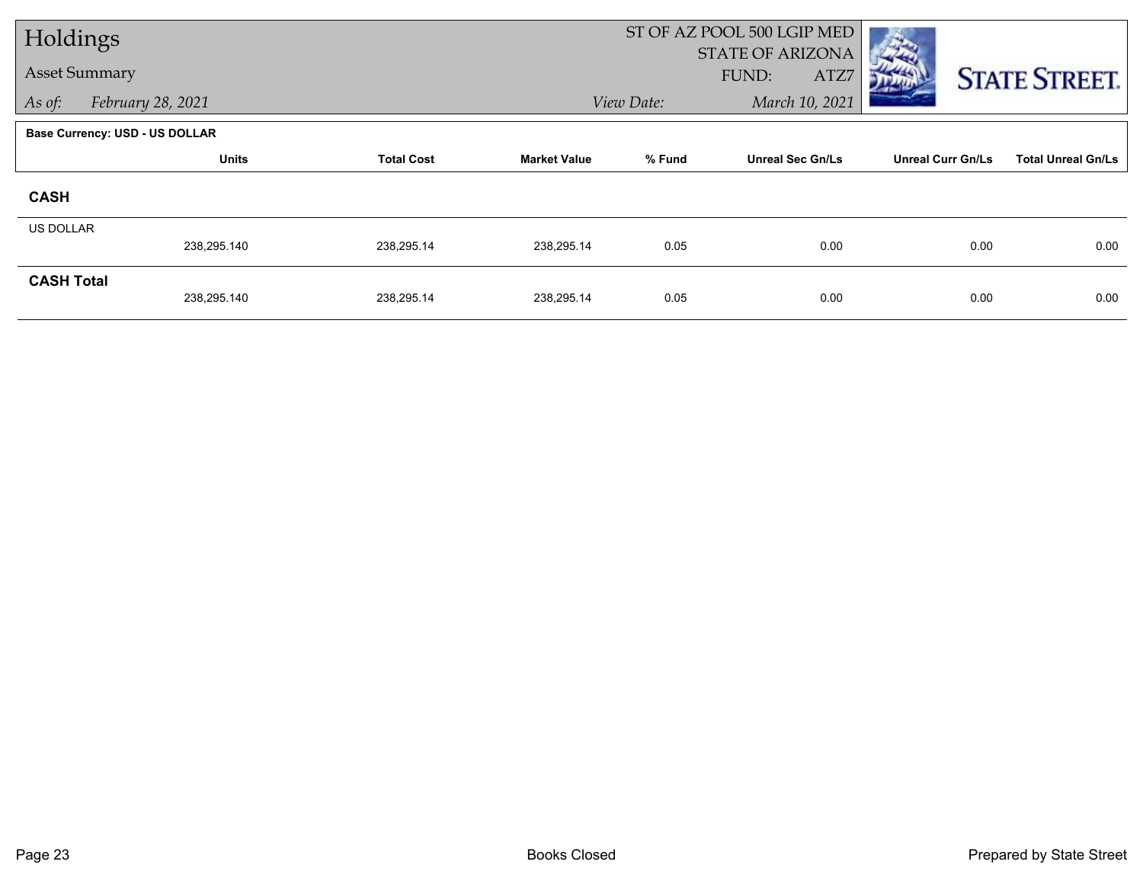| Holdings                    |                                       |            |                     |                              | ST OF AZ POOL 500 LGIP MED               |                          |                           |  |  |
|-----------------------------|---------------------------------------|------------|---------------------|------------------------------|------------------------------------------|--------------------------|---------------------------|--|--|
| <b>Asset Summary</b>        |                                       |            |                     |                              | <b>STATE OF ARIZONA</b><br>FUND:<br>ATZ7 |                          |                           |  |  |
| As of:<br>February 28, 2021 |                                       |            |                     | March 10, 2021<br>View Date: |                                          |                          | <b>STATE STREET.</b>      |  |  |
|                             |                                       |            |                     |                              |                                          |                          |                           |  |  |
|                             | <b>Base Currency: USD - US DOLLAR</b> |            |                     |                              |                                          |                          |                           |  |  |
|                             | <b>Units</b><br><b>Total Cost</b>     |            | <b>Market Value</b> | % Fund                       | <b>Unreal Sec Gn/Ls</b>                  | <b>Unreal Curr Gn/Ls</b> | <b>Total Unreal Gn/Ls</b> |  |  |
| <b>CASH</b>                 |                                       |            |                     |                              |                                          |                          |                           |  |  |
| US DOLLAR                   |                                       |            |                     |                              |                                          |                          |                           |  |  |
|                             | 238,295.140                           | 238,295.14 | 238,295.14          | 0.05                         | 0.00                                     | 0.00                     | 0.00                      |  |  |
| <b>CASH Total</b>           |                                       |            |                     |                              |                                          |                          |                           |  |  |
|                             | 238,295.140                           | 238,295.14 | 238,295.14          | 0.05                         | 0.00                                     | 0.00                     | 0.00                      |  |  |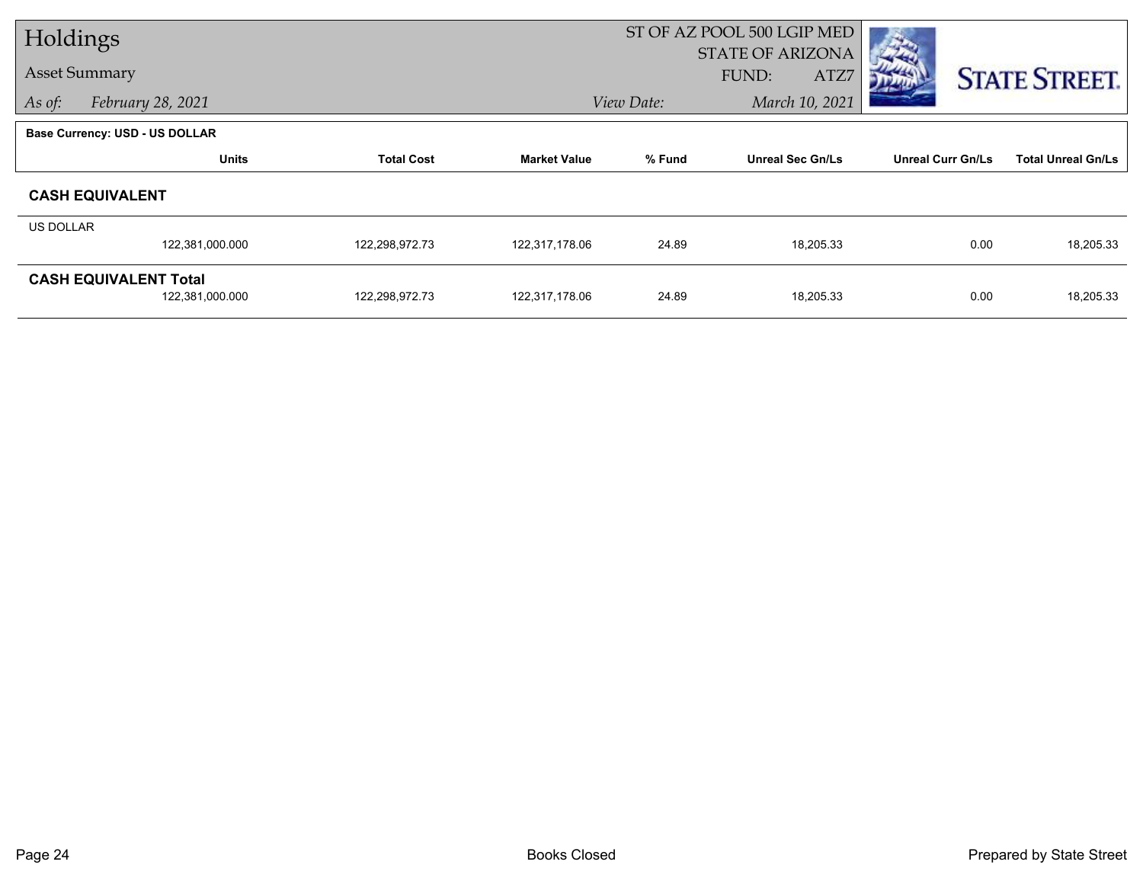| Holdings             |                                       |                   |                     | ST OF AZ POOL 500 LGIP MED |                         |                          |                           |
|----------------------|---------------------------------------|-------------------|---------------------|----------------------------|-------------------------|--------------------------|---------------------------|
| <b>Asset Summary</b> |                                       |                   |                     |                            | <b>STATE OF ARIZONA</b> |                          |                           |
|                      |                                       |                   |                     |                            | FUND:<br>ATZ7           |                          | <b>STATE STREET.</b>      |
| As of:               | February 28, 2021                     |                   |                     | View Date:                 | March 10, 2021          |                          |                           |
|                      | <b>Base Currency: USD - US DOLLAR</b> |                   |                     |                            |                         |                          |                           |
|                      | <b>Units</b>                          | <b>Total Cost</b> | <b>Market Value</b> | % Fund                     | <b>Unreal Sec Gn/Ls</b> | <b>Unreal Curr Gn/Ls</b> | <b>Total Unreal Gn/Ls</b> |
|                      | <b>CASH EQUIVALENT</b>                |                   |                     |                            |                         |                          |                           |
| US DOLLAR            |                                       |                   |                     |                            |                         |                          |                           |
|                      | 122,381,000.000                       | 122,298,972.73    | 122,317,178.06      | 24.89                      | 18,205.33               | 0.00                     | 18,205.33                 |
|                      | <b>CASH EQUIVALENT Total</b>          |                   |                     |                            |                         |                          |                           |
|                      | 122,381,000.000                       | 122,298,972.73    | 122,317,178.06      | 24.89                      | 18,205.33               | 0.00                     | 18,205.33                 |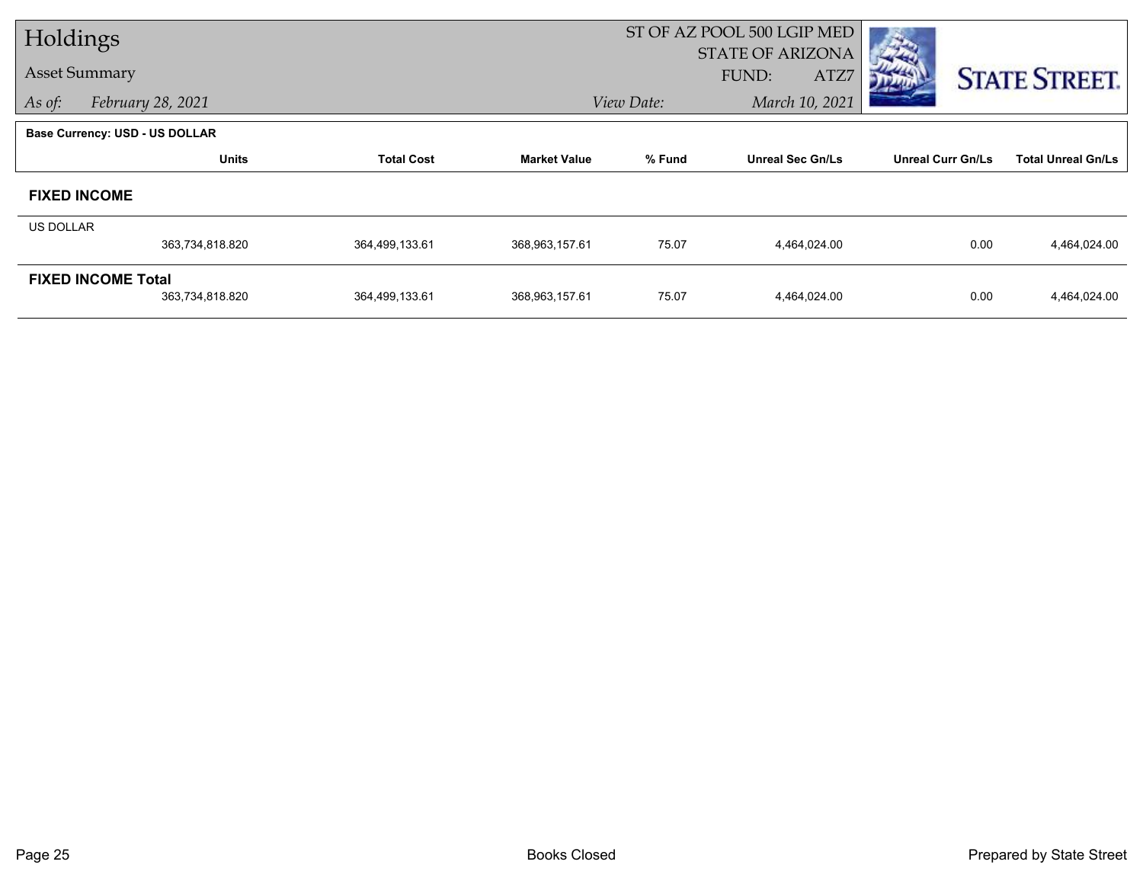| Holdings             |                                       |                   |                     | ST OF AZ POOL 500 LGIP MED |                         |                          |                           |  |
|----------------------|---------------------------------------|-------------------|---------------------|----------------------------|-------------------------|--------------------------|---------------------------|--|
|                      |                                       |                   |                     |                            | <b>STATE OF ARIZONA</b> |                          |                           |  |
| <b>Asset Summary</b> |                                       |                   |                     |                            | FUND:<br>ATZ7           |                          | <b>STATE STREET.</b>      |  |
| As of:               | February 28, 2021                     |                   |                     | View Date:                 | March 10, 2021          |                          |                           |  |
|                      | <b>Base Currency: USD - US DOLLAR</b> |                   |                     |                            |                         |                          |                           |  |
|                      | <b>Units</b>                          | <b>Total Cost</b> | <b>Market Value</b> | % Fund                     | <b>Unreal Sec Gn/Ls</b> | <b>Unreal Curr Gn/Ls</b> | <b>Total Unreal Gn/Ls</b> |  |
| <b>FIXED INCOME</b>  |                                       |                   |                     |                            |                         |                          |                           |  |
| <b>US DOLLAR</b>     |                                       |                   |                     |                            |                         |                          |                           |  |
|                      | 363,734,818.820                       | 364,499,133.61    | 368,963,157.61      | 75.07                      | 4,464,024.00            | 0.00                     | 4,464,024.00              |  |
|                      | <b>FIXED INCOME Total</b>             |                   |                     |                            |                         |                          |                           |  |
|                      | 363,734,818.820                       | 364,499,133.61    | 368,963,157.61      | 75.07                      | 4,464,024.00            | 0.00                     | 4,464,024.00              |  |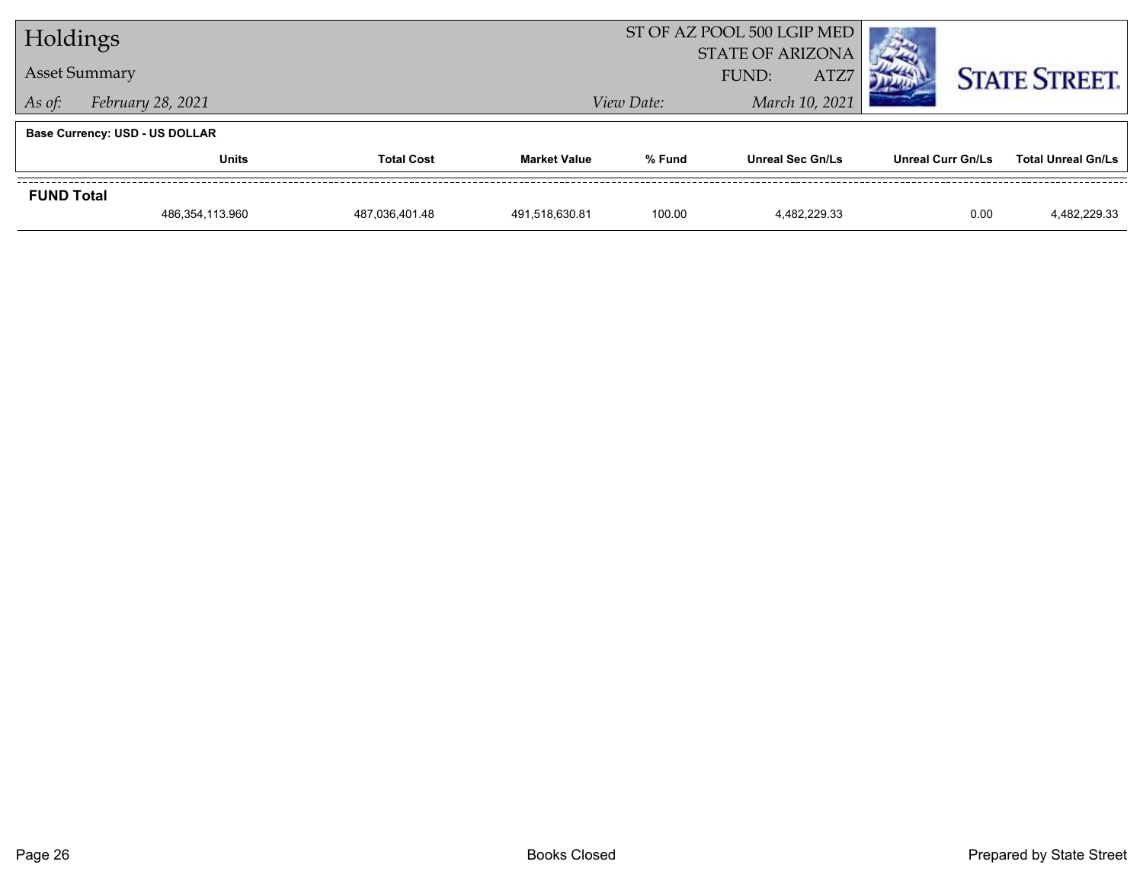| Holdings                    |                                       |                |                     | ST OF AZ POOL 500 LGIP MED               |                         |                          |                           |  |  |
|-----------------------------|---------------------------------------|----------------|---------------------|------------------------------------------|-------------------------|--------------------------|---------------------------|--|--|
| <b>Asset Summary</b>        |                                       |                |                     | <b>STATE OF ARIZONA</b><br>ATZ7<br>FUND: |                         |                          | <b>STATE STREET.</b>      |  |  |
| February 28, 2021<br>As of: |                                       |                |                     | March 10, 2021<br>View Date:             |                         |                          |                           |  |  |
|                             | <b>Base Currency: USD - US DOLLAR</b> |                |                     |                                          |                         |                          |                           |  |  |
|                             | <b>Units</b><br><b>Total Cost</b>     |                | <b>Market Value</b> | % Fund                                   | <b>Unreal Sec Gn/Ls</b> | <b>Unreal Curr Gn/Ls</b> | <b>Total Unreal Gn/Ls</b> |  |  |
| <b>FUND Total</b>           |                                       |                |                     |                                          |                         |                          |                           |  |  |
|                             | 486,354,113.960                       | 487,036,401.48 | 491,518,630.81      | 100.00                                   | 4.482.229.33            | 0.00                     | 4,482,229.33              |  |  |